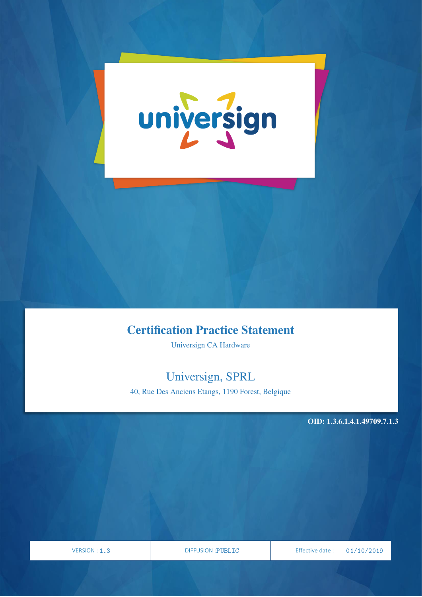

# Certification Practice Statement

Universign CA Hardware

# Universign, SPRL

40, Rue Des Anciens Etangs, 1190 Forest, Belgique

OID: 1.3.6.1.4.1.49709.7.1.3

PAGE

| VERSION: 1 |  |  |
|------------|--|--|
|------------|--|--|

VERSION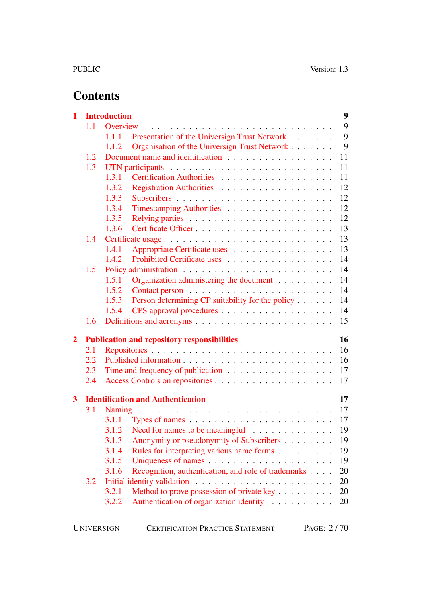# **Contents**

| 1                       |            | <b>Introduction</b>                                          | $\boldsymbol{9}$ |
|-------------------------|------------|--------------------------------------------------------------|------------------|
|                         | 1.1        | Overview                                                     | 9                |
|                         |            | Presentation of the Universign Trust Network<br>1.1.1        | 9                |
|                         |            | Organisation of the Universign Trust Network<br>1.1.2        | 9                |
|                         | 1.2        |                                                              | 11               |
|                         | 1.3        |                                                              | 11               |
|                         |            | 1.3.1                                                        | 11               |
|                         |            | 1.3.2                                                        | 12               |
|                         |            | 1.3.3                                                        | 12               |
|                         |            | 1.3.4<br>Timestamping Authorities                            | 12               |
|                         |            | 1.3.5                                                        | 12               |
|                         |            | 1.3.6                                                        | 13               |
|                         | 1.4        | Certificate usage                                            | 13               |
|                         |            | 1.4.1<br>Appropriate Certificate uses                        | 13               |
|                         |            | Prohibited Certificate uses<br>1.4.2                         | 14               |
|                         | 1.5        |                                                              | 14               |
|                         |            | Organization administering the document<br>1.5.1             | 14               |
|                         |            | 1.5.2                                                        | 14               |
|                         |            | Person determining CP suitability for the policy<br>1.5.3    | 14               |
|                         |            | 1.5.4                                                        | 14               |
|                         | 1.6        |                                                              | 15               |
| $\overline{2}$          |            | <b>Publication and repository responsibilities</b>           | 16               |
|                         | 2.1        |                                                              | 16               |
|                         | 2.2        |                                                              | 16               |
|                         | 2.3        | Time and frequency of publication                            | 17               |
|                         | 2.4        |                                                              | 17               |
| $\overline{\mathbf{3}}$ |            | <b>Identification and Authentication</b>                     | 17               |
|                         | <b>3.1</b> |                                                              | 17               |
|                         |            |                                                              | 17               |
|                         |            | 3.1.2 Need for names to be meaningful                        | 19               |
|                         |            | Anonymity or pseudonymity of Subscribers<br>3.1.3            | 19               |
|                         |            | 3.1.4<br>Rules for interpreting various name forms           | 19               |
|                         |            | 3.1.5                                                        | 19               |
|                         |            | Recognition, authentication, and role of trademarks<br>3.1.6 | 20               |
|                         | 3.2        |                                                              | 20               |
|                         |            | Method to prove possession of private key<br>3.2.1           | 20               |
|                         |            | Authentication of organization identity<br>3.2.2             | 20               |
|                         |            |                                                              |                  |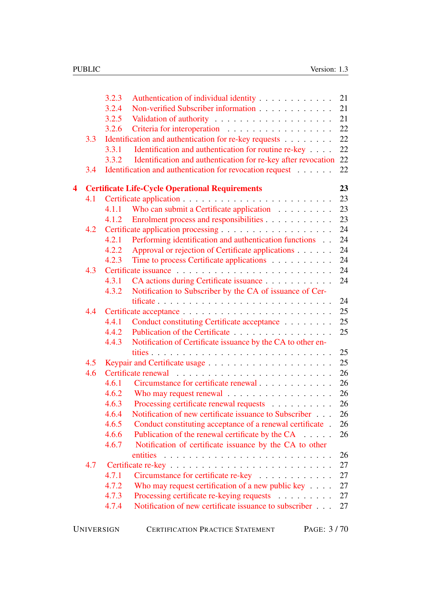|                  |     | 3.2.3<br>Authentication of individual identity                                   | 21       |
|------------------|-----|----------------------------------------------------------------------------------|----------|
|                  |     | Non-verified Subscriber information<br>3.2.4                                     | 21       |
|                  |     | 3.2.5                                                                            | 21       |
|                  |     | 3.2.6                                                                            | 22       |
|                  | 3.3 | Identification and authentication for re-key requests                            | 22       |
|                  |     | Identification and authentication for routine re-key<br>3.3.1                    | 22       |
|                  |     | Identification and authentication for re-key after revocation<br>3.3.2           | 22       |
|                  | 3.4 | Identification and authentication for revocation request                         | 22       |
| $\blacktriangle$ |     | <b>Certificate Life-Cycle Operational Requirements</b>                           | 23       |
|                  | 4.1 |                                                                                  | 23       |
|                  |     | Who can submit a Certificate application<br>4.1.1                                | 23       |
|                  |     | Enrolment process and responsibilities<br>4.1.2                                  | 23       |
|                  | 4.2 |                                                                                  | 24       |
|                  |     | Performing identification and authentication functions<br>4.2.1                  | 24       |
|                  |     | 4.2.2<br>Approval or rejection of Certificate applications                       | 24       |
|                  |     | 4.2.3<br>Time to process Certificate applications                                | 24       |
|                  | 4.3 |                                                                                  | 24       |
|                  |     | CA actions during Certificate issuance<br>4.3.1                                  | 24       |
|                  |     | 4.3.2<br>Notification to Subscriber by the CA of issuance of Cer-                |          |
|                  |     | tificate $\ldots \ldots \ldots \ldots \ldots \ldots \ldots \ldots \ldots \ldots$ | 24       |
|                  | 4.4 |                                                                                  | 25       |
|                  |     | Conduct constituting Certificate acceptance<br>4.4.1                             | 25       |
|                  |     | Publication of the Certificate<br>4.4.2                                          | 25       |
|                  |     | Notification of Certificate issuance by the CA to other en-<br>4.4.3             |          |
|                  |     |                                                                                  | 25       |
|                  | 4.5 |                                                                                  | 25       |
|                  | 4.6 | Circumstance for certificate renewal<br>4.6.1                                    | 26<br>26 |
|                  |     | Who may request renewal<br>4.6.2                                                 | 26       |
|                  |     | Processing certificate renewal requests<br>4.6.3                                 | 26       |
|                  |     | Notification of new certificate issuance to Subscriber<br>4.6.4                  | 26       |
|                  |     | 4.6.5<br>Conduct constituting acceptance of a renewal certificate.               | 26       |
|                  |     | 4.6.6<br>Publication of the renewal certificate by the CA                        | 26       |
|                  |     | 4.6.7<br>Notification of certificate issuance by the CA to other                 |          |
|                  |     |                                                                                  | 26       |
|                  | 4.7 |                                                                                  | 27       |
|                  |     | 4.7.1<br>Circumstance for certificate re-key                                     | 27       |
|                  |     | 4.7.2<br>Who may request certification of a new public key $\dots$ .             | 27       |
|                  |     | 4.7.3<br>Processing certificate re-keying requests                               | 27       |
|                  |     | Notification of new certificate issuance to subscriber<br>4.7.4                  | 27       |
|                  |     |                                                                                  |          |
|                  |     |                                                                                  |          |

| PAGE: 3/70<br>UNIVERSIGN<br><b>CERTIFICATION PRACTICE STATEMENT</b> |
|---------------------------------------------------------------------|
|                                                                     |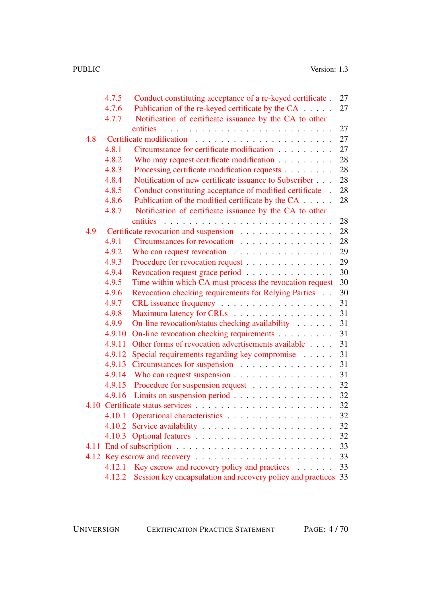|     | 4.7.5  | Conduct constituting acceptance of a re-keyed certificate.      | 27 |
|-----|--------|-----------------------------------------------------------------|----|
|     | 4.7.6  | Publication of the re-keyed certificate by the CA               | 27 |
|     | 4.7.7  | Notification of certificate issuance by the CA to other         |    |
|     |        | entities                                                        | 27 |
| 4.8 |        |                                                                 | 27 |
|     | 4.8.1  | Circumstance for certificate modification                       | 27 |
|     | 4.8.2  | Who may request certificate modification                        | 28 |
|     | 4.8.3  | Processing certificate modification requests                    | 28 |
|     | 4.8.4  | Notification of new certificate issuance to Subscriber          | 28 |
|     | 4.8.5  | Conduct constituting acceptance of modified certificate.        | 28 |
|     | 4.8.6  | Publication of the modified certificate by the CA               | 28 |
|     | 4.8.7  | Notification of certificate issuance by the CA to other         |    |
|     |        | entities                                                        | 28 |
| 4.9 |        | Certificate revocation and suspension                           | 28 |
|     | 4.9.1  | Circumstances for revocation                                    | 28 |
|     | 4.9.2  | Who can request revocation $\ldots \ldots \ldots \ldots \ldots$ | 29 |
|     | 4.9.3  | Procedure for revocation request                                | 29 |
|     | 4.9.4  | Revocation request grace period                                 | 30 |
|     | 4.9.5  | Time within which CA must process the revocation request        | 30 |
|     | 4.9.6  | Revocation checking requirements for Relying Parties            | 30 |
|     | 4.9.7  |                                                                 | 31 |
|     | 4.9.8  | Maximum latency for CRLs                                        | 31 |
|     | 4.9.9  | On-line revocation/status checking availability                 | 31 |
|     | 4.9.10 | On-line revocation checking requirements                        | 31 |
|     | 4.9.11 | Other forms of revocation advertisements available              | 31 |
|     | 4.9.12 | Special requirements regarding key compromise                   | 31 |
|     | 4.9.13 | Circumstances for suspension                                    | 31 |
|     | 4.9.14 |                                                                 | 31 |
|     | 4.9.15 | Procedure for suspension request                                | 32 |
|     | 4.9.16 | Limits on suspension period                                     | 32 |
|     |        |                                                                 | 32 |
|     | 4.10.1 | Operational characteristics                                     | 32 |
|     | 4.10.2 |                                                                 | 32 |
|     |        |                                                                 | 32 |
|     |        |                                                                 | 33 |
|     |        | 4.12 Key escrow and recovery                                    | 33 |
|     | 4.12.1 | Key escrow and recovery policy and practices                    | 33 |
|     | 4.12.2 | Session key encapsulation and recovery policy and practices     | 33 |

UNIVERSIGN CERTIFICATION PRACTICE STATEMENT PAGE: 4 / 70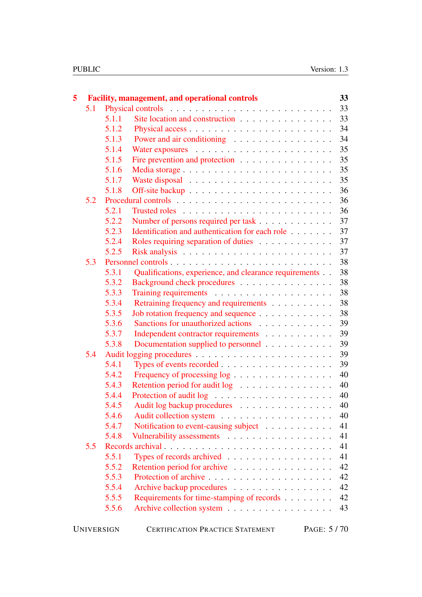| 5 |     |                   | <b>Facility, management, and operational controls</b>  |  |  | 33           |
|---|-----|-------------------|--------------------------------------------------------|--|--|--------------|
|   | 5.1 |                   |                                                        |  |  | 33           |
|   |     | 5.1.1             | Site location and construction                         |  |  | 33           |
|   |     | 5.1.2             |                                                        |  |  | 34           |
|   |     | 5.1.3             | Power and air conditioning                             |  |  | 34           |
|   |     | 5.1.4             |                                                        |  |  | 35           |
|   |     | 5.1.5             | Fire prevention and protection                         |  |  | 35           |
|   |     | 5.1.6             |                                                        |  |  | 35           |
|   |     | 5.1.7             |                                                        |  |  | 35           |
|   |     | 5.1.8             |                                                        |  |  | 36           |
|   | 5.2 |                   |                                                        |  |  | 36           |
|   |     | 5.2.1             |                                                        |  |  | 36           |
|   |     | 5.2.2             | Number of persons required per task                    |  |  | 37           |
|   |     | 5.2.3             | Identification and authentication for each role        |  |  | 37           |
|   |     | 5.2.4             | Roles requiring separation of duties                   |  |  | 37           |
|   |     | 5.2.5             |                                                        |  |  | 37           |
|   | 5.3 |                   |                                                        |  |  | 38           |
|   |     | 5.3.1             | Qualifications, experience, and clearance requirements |  |  | 38           |
|   |     | 5.3.2             | Background check procedures                            |  |  | 38           |
|   |     | 5.3.3             |                                                        |  |  | 38           |
|   |     | 5.3.4             | Retraining frequency and requirements                  |  |  | 38           |
|   |     | 5.3.5             | Job rotation frequency and sequence                    |  |  | 38           |
|   |     | 5.3.6             | Sanctions for unauthorized actions                     |  |  | 39           |
|   |     | 5.3.7             | Independent contractor requirements                    |  |  | 39           |
|   |     | 5.3.8             | Documentation supplied to personnel                    |  |  | 39           |
|   | 5.4 |                   |                                                        |  |  | 39           |
|   |     | 5.4.1             |                                                        |  |  | 39           |
|   |     | 5.4.2             | Frequency of processing log                            |  |  | 40           |
|   |     | 5.4.3             | Retention period for audit log                         |  |  | 40           |
|   |     | 5.4.4             |                                                        |  |  | 40           |
|   |     | 5.4.5             | Audit log backup procedures                            |  |  | 40           |
|   |     | 5.4.6             |                                                        |  |  | 40           |
|   |     | 5.4.7             | Notification to event-causing subject                  |  |  | 41           |
|   |     | 5.4.8             | Vulnerability assessments                              |  |  | 41           |
|   | 5.5 |                   |                                                        |  |  | 41           |
|   |     | 5.5.1             |                                                        |  |  | 41           |
|   |     | 5.5.2             | Retention period for archive                           |  |  | 42           |
|   |     | 5.5.3             |                                                        |  |  | 42           |
|   |     | 5.5.4             | Archive backup procedures                              |  |  | 42           |
|   |     | 5.5.5             | Requirements for time-stamping of records              |  |  | 42           |
|   |     | 5.5.6             |                                                        |  |  | 43           |
|   |     | <b>UNIVERSIGN</b> | <b>CERTIFICATION PRACTICE STATEMENT</b>                |  |  | PAGE: $5/70$ |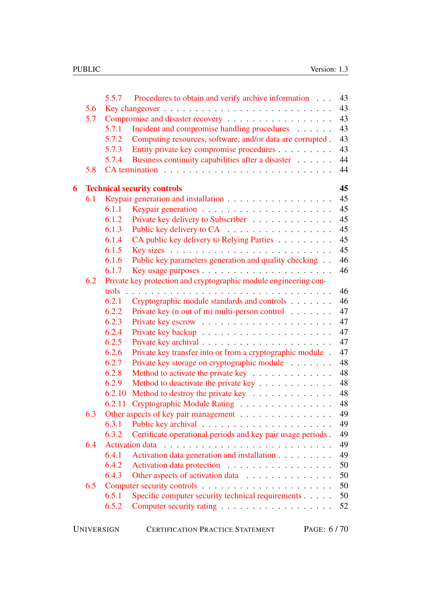|   |     | 5.5.7             | Procedures to obtain and verify archive information              |            | 43 |
|---|-----|-------------------|------------------------------------------------------------------|------------|----|
|   | 5.6 |                   |                                                                  |            | 43 |
|   | 5.7 |                   |                                                                  |            | 43 |
|   |     | 5.7.1             | Incident and compromise handling procedures                      |            | 43 |
|   |     | 5.7.2             | Computing resources, software, and/or data are corrupted.        |            | 43 |
|   |     | 5.7.3             | Entity private key compromise procedures                         |            | 43 |
|   |     | 5.7.4             | Business continuity capabilities after a disaster                |            | 44 |
|   | 5.8 |                   |                                                                  |            | 44 |
| 6 |     |                   | <b>Technical security controls</b>                               |            | 45 |
|   | 6.1 |                   |                                                                  |            | 45 |
|   |     | 6.1.1             |                                                                  |            | 45 |
|   |     | 6.1.2             | Private key delivery to Subscriber                               |            | 45 |
|   |     | 6.1.3             | Public key delivery to CA                                        |            | 45 |
|   |     | 6.1.4             | CA public key delivery to Relying Parties                        |            | 45 |
|   |     | 6.1.5             |                                                                  |            | 45 |
|   |     | 6.1.6             | Public key parameters generation and quality checking            |            | 46 |
|   |     | 6.1.7             |                                                                  |            | 46 |
|   | 6.2 |                   | Private key protection and cryptographic module engineering con- |            |    |
|   |     | trols             |                                                                  |            | 46 |
|   |     | 6.2.1             | Cryptographic module standards and controls                      |            | 46 |
|   |     | 6.2.2             | Private key (n out of m) multi-person control $\dots \dots$      |            | 47 |
|   |     | 6.2.3             |                                                                  |            | 47 |
|   |     | 6.2.4             |                                                                  |            | 47 |
|   |     | 6.2.5             |                                                                  |            | 47 |
|   |     | 6.2.6             | Private key transfer into or from a cryptographic module.        |            | 47 |
|   |     | 6.2.7             | Private key storage on cryptographic module                      |            | 48 |
|   |     | 6.2.8             | Method to activate the private key                               |            | 48 |
|   |     | 6.2.9             | Method to deactivate the private key                             |            | 48 |
|   |     | 6.2.10            | Method to destroy the private key                                |            | 48 |
|   |     | 6.2.11            | Cryptographic Module Rating                                      |            | 48 |
|   | 6.3 |                   | Other aspects of key pair management                             |            | 49 |
|   |     | 6.3.1             |                                                                  |            | 49 |
|   |     | 6.3.2             | Certificate operational periods and key pair usage periods.      |            | 49 |
|   | 6.4 |                   |                                                                  |            | 49 |
|   |     | 6.4.1             | Activation data generation and installation                      |            | 49 |
|   |     | 6.4.2             | Activation data protection                                       |            | 50 |
|   |     | 6.4.3             | Other aspects of activation data                                 |            | 50 |
|   | 6.5 |                   |                                                                  |            | 50 |
|   |     | 6.5.1             | Specific computer security technical requirements                |            | 50 |
|   |     | 6.5.2             |                                                                  |            | 52 |
|   |     | <b>UNIVERSIGN</b> | <b>CERTIFICATION PRACTICE STATEMENT</b>                          | PAGE: 6/70 |    |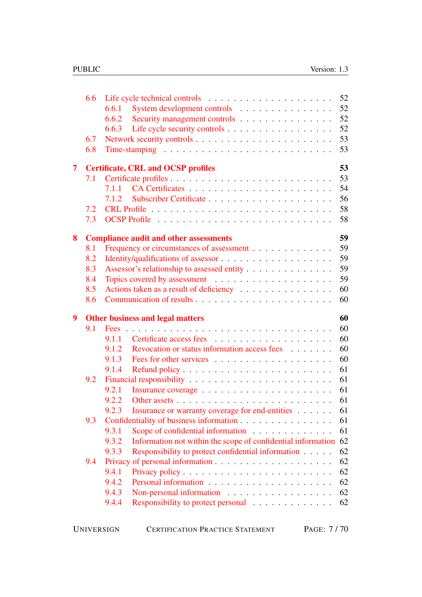|                         | 6.6 | 52                                                                            |
|-------------------------|-----|-------------------------------------------------------------------------------|
|                         |     | System development controls<br>52<br>6.6.1                                    |
|                         |     | 52<br>Security management controls<br>6.6.2                                   |
|                         |     | 52<br>6.6.3                                                                   |
|                         | 6.7 | 53                                                                            |
|                         | 6.8 | 53                                                                            |
| $\overline{\mathbf{7}}$ |     | 53<br><b>Certificate, CRL and OCSP profiles</b>                               |
|                         | 7.1 | 53                                                                            |
|                         |     | 54<br>7.1.1                                                                   |
|                         |     | 56<br>7.1.2                                                                   |
|                         | 7.2 | 58                                                                            |
|                         | 7.3 | 58                                                                            |
| 8                       |     | 59<br><b>Compliance audit and other assessments</b>                           |
|                         | 8.1 | 59<br>Frequency or circumstances of assessment                                |
|                         | 8.2 | 59                                                                            |
|                         | 8.3 | 59<br>Assessor's relationship to assessed entity                              |
|                         | 8.4 | 59                                                                            |
|                         | 8.5 | Actions taken as a result of deficiency<br>60                                 |
|                         | 8.6 | 60                                                                            |
| 9                       |     | 60<br><b>Other business and legal matters</b>                                 |
|                         | 9.1 | 60                                                                            |
|                         |     | 60<br>9.1.1                                                                   |
|                         |     |                                                                               |
|                         |     | 60<br>Revocation or status information access fees<br>9.1.2                   |
|                         |     | 60<br>9.1.3                                                                   |
|                         |     | 61<br>9.1.4                                                                   |
|                         | 9.2 | 61                                                                            |
|                         |     | 61<br>9.2.1                                                                   |
|                         |     | 61<br>9.2.2                                                                   |
|                         |     | 61<br>Insurance or warranty coverage for end-entities<br>9.2.3                |
|                         | 9.3 | Confidentiality of business information<br>61                                 |
|                         |     | Scope of confidential information<br>61<br>9.3.1                              |
|                         |     | Information not within the scope of confidential information<br>62<br>9.3.2   |
|                         |     | 62<br>Responsibility to protect confidential information<br>9.3.3             |
|                         | 9.4 | 62                                                                            |
|                         |     | 9.4.1<br>62                                                                   |
|                         |     | 62<br>9.4.2                                                                   |
|                         |     | 9.4.3<br>62                                                                   |
|                         |     | Non-personal information<br>62<br>9.4.4<br>Responsibility to protect personal |

| <b>UNIVERSIGN</b> | <b>CERTIFICATION PRACTICE STATEMENT</b> | PAGE: 7/70 |
|-------------------|-----------------------------------------|------------|
|-------------------|-----------------------------------------|------------|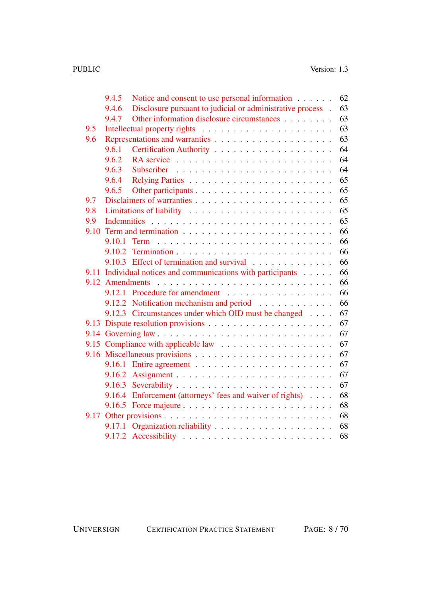|      | 9.4.5           | Notice and consent to use personal information                             | 62 |
|------|-----------------|----------------------------------------------------------------------------|----|
|      | 9.4.6           | Disclosure pursuant to judicial or administrative process.                 | 63 |
|      | 9.4.7           | Other information disclosure circumstances                                 | 63 |
| 9.5  |                 |                                                                            | 63 |
| 9.6  |                 |                                                                            | 63 |
|      | 9.6.1           |                                                                            | 64 |
|      | 9.6.2           |                                                                            | 64 |
|      | 9.6.3           |                                                                            | 64 |
|      | 9.6.4           |                                                                            | 65 |
|      | 9.6.5           |                                                                            | 65 |
| 9.7  |                 |                                                                            | 65 |
| 9.8  |                 |                                                                            | 65 |
| 9.9  |                 |                                                                            | 65 |
| 9.10 |                 |                                                                            | 66 |
|      |                 |                                                                            | 66 |
|      | 9.10.2          |                                                                            | 66 |
|      |                 | 9.10.3 Effect of termination and survival                                  | 66 |
| 9.11 |                 | Individual notices and communications with participants                    | 66 |
|      | 9.12 Amendments |                                                                            | 66 |
|      |                 | 9.12.1 Procedure for amendment                                             | 66 |
|      |                 | 9.12.2 Notification mechanism and period                                   | 66 |
|      |                 | 9.12.3 Circumstances under which OID must be changed                       | 67 |
| 9.13 |                 |                                                                            | 67 |
|      |                 |                                                                            | 67 |
|      |                 |                                                                            | 67 |
|      |                 |                                                                            | 67 |
|      |                 | 9.16.1 Entire agreement $\ldots \ldots \ldots \ldots \ldots \ldots \ldots$ | 67 |
|      |                 |                                                                            | 67 |
|      |                 |                                                                            | 67 |
|      |                 | 9.16.4 Enforcement (attorneys' fees and waiver of rights)                  | 68 |
|      |                 |                                                                            | 68 |
| 9.17 |                 |                                                                            | 68 |
|      | 9.17.1          |                                                                            | 68 |
|      |                 |                                                                            | 68 |

UNIVERSIGN CERTIFICATION PRACTICE STATEMENT PAGE: 8 / 70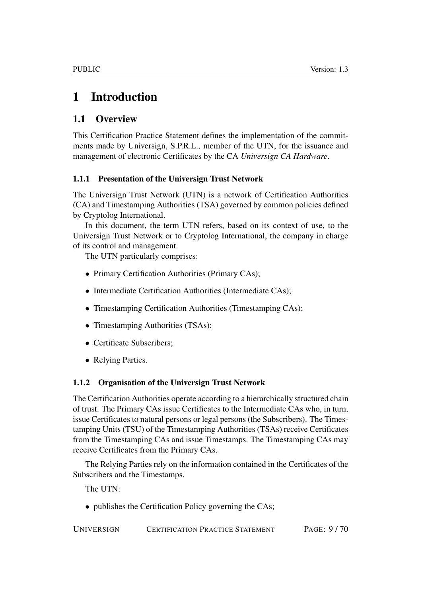# <span id="page-8-0"></span>1 Introduction

# <span id="page-8-1"></span>1.1 Overview

This Certification Practice Statement defines the implementation of the commitments made by Universign, S.P.R.L., member of the UTN, for the issuance and management of electronic Certificates by the CA *Universign CA Hardware*.

### <span id="page-8-2"></span>1.1.1 Presentation of the Universign Trust Network

The Universign Trust Network (UTN) is a network of Certification Authorities (CA) and Timestamping Authorities (TSA) governed by common policies defined by Cryptolog International.

In this document, the term UTN refers, based on its context of use, to the Universign Trust Network or to Cryptolog International, the company in charge of its control and management.

The UTN particularly comprises:

- Primary Certification Authorities (Primary CAs);
- Intermediate Certification Authorities (Intermediate CAs);
- Timestamping Certification Authorities (Timestamping CAs);
- Timestamping Authorities (TSAs);
- Certificate Subscribers;
- Relying Parties.

### <span id="page-8-3"></span>1.1.2 Organisation of the Universign Trust Network

The Certification Authorities operate according to a hierarchically structured chain of trust. The Primary CAs issue Certificates to the Intermediate CAs who, in turn, issue Certificates to natural persons or legal persons (the Subscribers). The Timestamping Units (TSU) of the Timestamping Authorities (TSAs) receive Certificates from the Timestamping CAs and issue Timestamps. The Timestamping CAs may receive Certificates from the Primary CAs.

The Relying Parties rely on the information contained in the Certificates of the Subscribers and the Timestamps.

The UTN:

• publishes the Certification Policy governing the CAs;

UNIVERSIGN CERTIFICATION PRACTICE STATEMENT PAGE: 9 / 70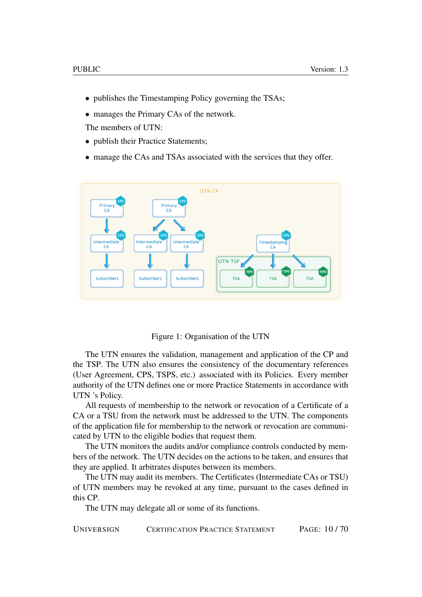- publishes the Timestamping Policy governing the TSAs;
- manages the Primary CAs of the network.

The members of UTN:

- publish their Practice Statements:
- manage the CAs and TSAs associated with the services that they offer.



Figure 1: Organisation of the UTN

The UTN ensures the validation, management and application of the CP and the TSP. The UTN also ensures the consistency of the documentary references (User Agreement, CPS, TSPS, etc.) associated with its Policies. Every member authority of the UTN defines one or more Practice Statements in accordance with UTN 's Policy.

All requests of membership to the network or revocation of a Certificate of a CA or a TSU from the network must be addressed to the UTN. The components of the application file for membership to the network or revocation are communicated by UTN to the eligible bodies that request them.

The UTN monitors the audits and/or compliance controls conducted by members of the network. The UTN decides on the actions to be taken, and ensures that they are applied. It arbitrates disputes between its members.

The UTN may audit its members. The Certificates (Intermediate CAs or TSU) of UTN members may be revoked at any time, pursuant to the cases defined in this CP.

The UTN may delegate all or some of its functions.

UNIVERSIGN CERTIFICATION PRACTICE STATEMENT PAGE: 10 / 70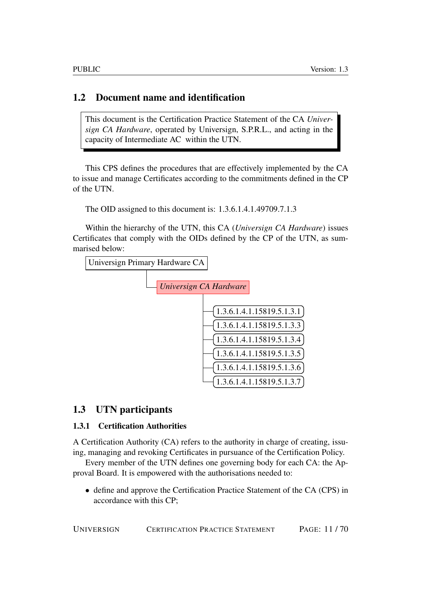# <span id="page-10-0"></span>1.2 Document name and identification

This document is the Certification Practice Statement of the CA *Universign CA Hardware*, operated by Universign, S.P.R.L., and acting in the capacity of Intermediate AC within the UTN.

This CPS defines the procedures that are effectively implemented by the CA to issue and manage Certificates according to the commitments defined in the CP of the UTN.

The OID assigned to this document is: 1.3.6.1.4.1.49709.7.1.3

Within the hierarchy of the UTN, this CA (*Universign CA Hardware*) issues Certificates that comply with the OIDs defined by the CP of the UTN, as summarised below:



### <span id="page-10-1"></span>1.3 UTN participants

### <span id="page-10-2"></span>1.3.1 Certification Authorities

A Certification Authority (CA) refers to the authority in charge of creating, issuing, managing and revoking Certificates in pursuance of the Certification Policy.

Every member of the UTN defines one governing body for each CA: the Approval Board. It is empowered with the authorisations needed to:

• define and approve the Certification Practice Statement of the CA (CPS) in accordance with this CP;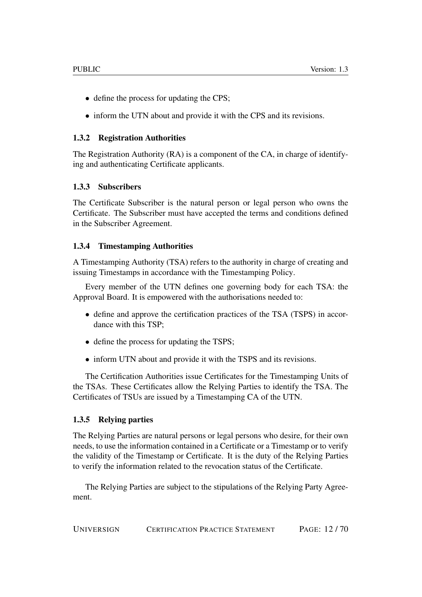- define the process for updating the CPS;
- inform the UTN about and provide it with the CPS and its revisions.

### <span id="page-11-0"></span>1.3.2 Registration Authorities

The Registration Authority (RA) is a component of the CA, in charge of identifying and authenticating Certificate applicants.

### <span id="page-11-1"></span>1.3.3 Subscribers

The Certificate Subscriber is the natural person or legal person who owns the Certificate. The Subscriber must have accepted the terms and conditions defined in the Subscriber Agreement.

### <span id="page-11-2"></span>1.3.4 Timestamping Authorities

A Timestamping Authority (TSA) refers to the authority in charge of creating and issuing Timestamps in accordance with the Timestamping Policy.

Every member of the UTN defines one governing body for each TSA: the Approval Board. It is empowered with the authorisations needed to:

- define and approve the certification practices of the TSA (TSPS) in accordance with this TSP;
- define the process for updating the TSPS;
- inform UTN about and provide it with the TSPS and its revisions.

The Certification Authorities issue Certificates for the Timestamping Units of the TSAs. These Certificates allow the Relying Parties to identify the TSA. The Certificates of TSUs are issued by a Timestamping CA of the UTN.

### <span id="page-11-3"></span>1.3.5 Relying parties

The Relying Parties are natural persons or legal persons who desire, for their own needs, to use the information contained in a Certificate or a Timestamp or to verify the validity of the Timestamp or Certificate. It is the duty of the Relying Parties to verify the information related to the revocation status of the Certificate.

The Relying Parties are subject to the stipulations of the Relying Party Agreement.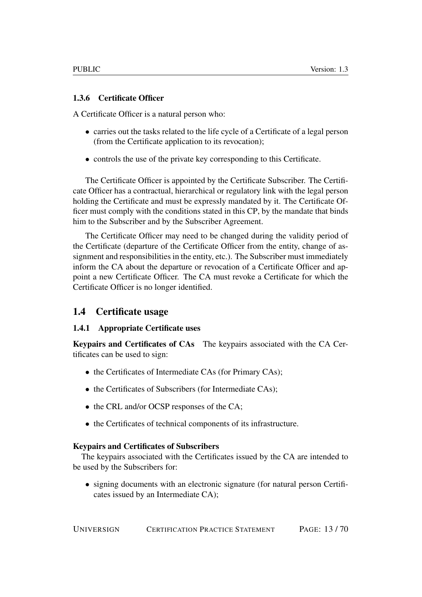### <span id="page-12-0"></span>1.3.6 Certificate Officer

A Certificate Officer is a natural person who:

- carries out the tasks related to the life cycle of a Certificate of a legal person (from the Certificate application to its revocation);
- controls the use of the private key corresponding to this Certificate.

The Certificate Officer is appointed by the Certificate Subscriber. The Certificate Officer has a contractual, hierarchical or regulatory link with the legal person holding the Certificate and must be expressly mandated by it. The Certificate Officer must comply with the conditions stated in this CP, by the mandate that binds him to the Subscriber and by the Subscriber Agreement.

The Certificate Officer may need to be changed during the validity period of the Certificate (departure of the Certificate Officer from the entity, change of assignment and responsibilities in the entity, etc.). The Subscriber must immediately inform the CA about the departure or revocation of a Certificate Officer and appoint a new Certificate Officer. The CA must revoke a Certificate for which the Certificate Officer is no longer identified.

# <span id="page-12-1"></span>1.4 Certificate usage

### <span id="page-12-2"></span>1.4.1 Appropriate Certificate uses

Keypairs and Certificates of CAs The keypairs associated with the CA Certificates can be used to sign:

- the Certificates of Intermediate CAs (for Primary CAs);
- the Certificates of Subscribers (for Intermediate CAs);
- the CRL and/or OCSP responses of the CA;
- the Certificates of technical components of its infrastructure.

### Keypairs and Certificates of Subscribers

The keypairs associated with the Certificates issued by the CA are intended to be used by the Subscribers for:

• signing documents with an electronic signature (for natural person Certificates issued by an Intermediate CA);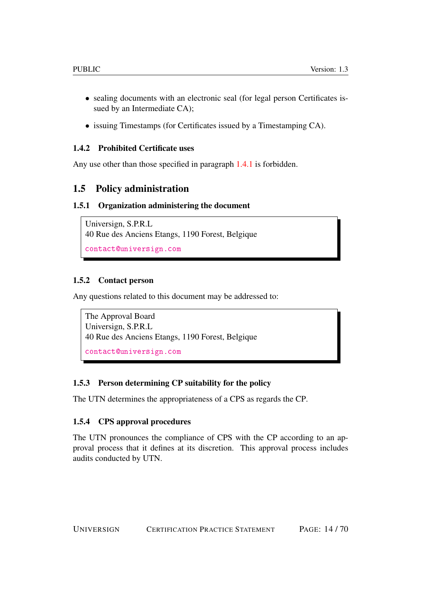- sealing documents with an electronic seal (for legal person Certificates issued by an Intermediate CA);
- issuing Timestamps (for Certificates issued by a Timestamping CA).

### <span id="page-13-0"></span>1.4.2 Prohibited Certificate uses

Any use other than those specified in paragraph [1.4.1](#page-12-2) is forbidden.

# <span id="page-13-1"></span>1.5 Policy administration

### <span id="page-13-2"></span>1.5.1 Organization administering the document

```
Universign, S.P.R.L
40 Rue des Anciens Etangs, 1190 Forest, Belgique
contact@universign.com
```
### <span id="page-13-3"></span>1.5.2 Contact person

Any questions related to this document may be addressed to:

```
The Approval Board
Universign, S.P.R.L
40 Rue des Anciens Etangs, 1190 Forest, Belgique
contact@universign.com
```
### <span id="page-13-4"></span>1.5.3 Person determining CP suitability for the policy

The UTN determines the appropriateness of a CPS as regards the CP.

### <span id="page-13-5"></span>1.5.4 CPS approval procedures

The UTN pronounces the compliance of CPS with the CP according to an approval process that it defines at its discretion. This approval process includes audits conducted by UTN.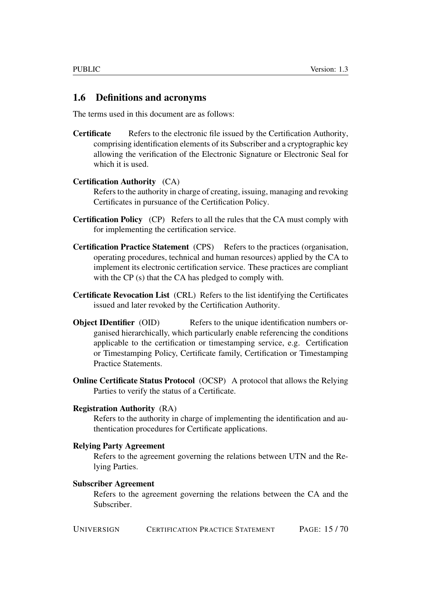### <span id="page-14-0"></span>1.6 Definitions and acronyms

The terms used in this document are as follows:

Certificate Refers to the electronic file issued by the Certification Authority, comprising identification elements of its Subscriber and a cryptographic key allowing the verification of the Electronic Signature or Electronic Seal for which it is used.

#### Certification Authority (CA)

Refers to the authority in charge of creating, issuing, managing and revoking Certificates in pursuance of the Certification Policy.

- Certification Policy (CP) Refers to all the rules that the CA must comply with for implementing the certification service.
- Certification Practice Statement (CPS) Refers to the practices (organisation, operating procedures, technical and human resources) applied by the CA to implement its electronic certification service. These practices are compliant with the CP (s) that the CA has pledged to comply with.
- Certificate Revocation List (CRL) Refers to the list identifying the Certificates issued and later revoked by the Certification Authority.
- **Object IDentifier** (OID) Refers to the unique identification numbers organised hierarchically, which particularly enable referencing the conditions applicable to the certification or timestamping service, e.g. Certification or Timestamping Policy, Certificate family, Certification or Timestamping Practice Statements.
- Online Certificate Status Protocol (OCSP) A protocol that allows the Relying Parties to verify the status of a Certificate.

#### Registration Authority (RA)

Refers to the authority in charge of implementing the identification and authentication procedures for Certificate applications.

#### Relying Party Agreement

Refers to the agreement governing the relations between UTN and the Relying Parties.

#### Subscriber Agreement

Refers to the agreement governing the relations between the CA and the Subscriber.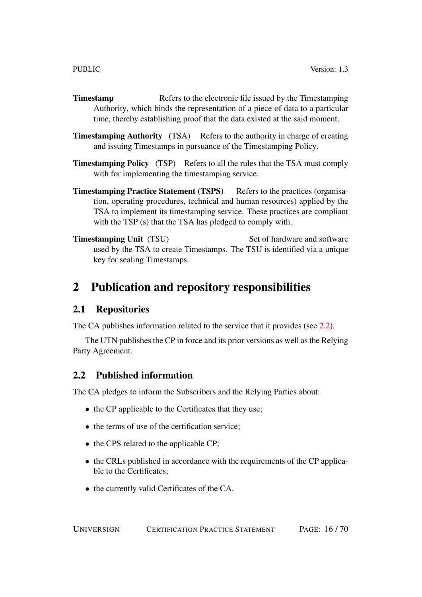- **Timestamp** Refers to the electronic file issued by the Timestamping Authority, which binds the representation of a piece of data to a particular time, thereby establishing proof that the data existed at the said moment.
- **Timestamping Authority** (TSA) Refers to the authority in charge of creating and issuing Timestamps in pursuance of the Timestamping Policy.
- Timestamping Policy (TSP) Refers to all the rules that the TSA must comply with for implementing the timestamping service.
- Timestamping Practice Statement (TSPS) Refers to the practices (organisation, operating procedures, technical and human resources) applied by the TSA to implement its timestamping service. These practices are compliant with the TSP (s) that the TSA has pledged to comply with.
- **Timestamping Unit** (TSU) Set of hardware and software used by the TSA to create Timestamps. The TSU is identified via a unique key for sealing Timestamps.

# <span id="page-15-0"></span>2 Publication and repository responsibilities

### <span id="page-15-1"></span>2.1 Repositories

The CA publishes information related to the service that it provides (see [2.2\)](#page-15-2).

The UTN publishes the CP in force and its prior versions as well as the Relying Party Agreement.

### <span id="page-15-2"></span>2.2 Published information

The CA pledges to inform the Subscribers and the Relying Parties about:

- the CP applicable to the Certificates that they use;
- the terms of use of the certification service:
- the CPS related to the applicable CP;
- the CRLs published in accordance with the requirements of the CP applicable to the Certificates;
- the currently valid Certificates of the CA.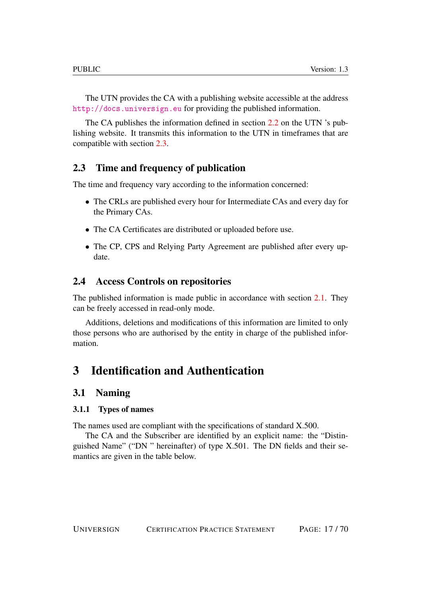The UTN provides the CA with a publishing website accessible at the address <http://docs.universign.eu> for providing the published information.

The CA publishes the information defined in section [2.2](#page-15-2) on the UTN 's publishing website. It transmits this information to the UTN in timeframes that are compatible with section [2.3.](#page-16-0)

## <span id="page-16-0"></span>2.3 Time and frequency of publication

The time and frequency vary according to the information concerned:

- The CRLs are published every hour for Intermediate CAs and every day for the Primary CAs.
- The CA Certificates are distributed or uploaded before use.
- The CP, CPS and Relying Party Agreement are published after every update.

## <span id="page-16-1"></span>2.4 Access Controls on repositories

The published information is made public in accordance with section [2.1.](#page-15-1) They can be freely accessed in read-only mode.

Additions, deletions and modifications of this information are limited to only those persons who are authorised by the entity in charge of the published information.

# <span id="page-16-2"></span>3 Identification and Authentication

### <span id="page-16-3"></span>3.1 Naming

#### <span id="page-16-4"></span>3.1.1 Types of names

The names used are compliant with the specifications of standard X.500.

The CA and the Subscriber are identified by an explicit name: the "Distinguished Name" ("DN " hereinafter) of type X.501. The DN fields and their semantics are given in the table below.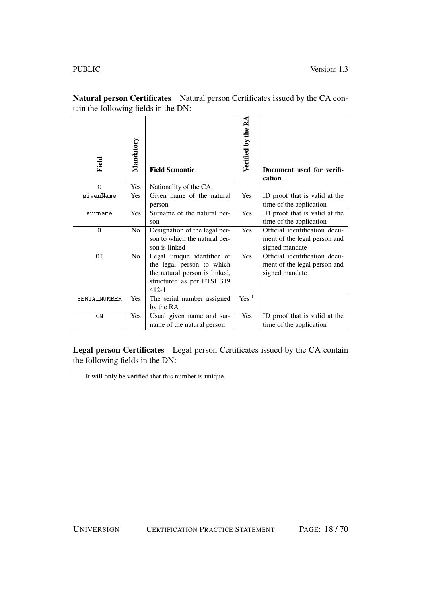| Field        | Mandatory      | <b>Field Semantic</b>                                                                                                               | Verified by the RA | Document used for verifi-<br>cation                                             |
|--------------|----------------|-------------------------------------------------------------------------------------------------------------------------------------|--------------------|---------------------------------------------------------------------------------|
| C            | Yes            | Nationality of the CA                                                                                                               |                    |                                                                                 |
| givenName    | Yes            | Given name of the natural<br>person                                                                                                 | Yes                | ID proof that is valid at the<br>time of the application                        |
| surname      | Yes            | Surname of the natural per-<br>son                                                                                                  | Yes                | ID proof that is valid at the<br>time of the application                        |
| 0            | N <sub>o</sub> | Designation of the legal per-<br>son to which the natural per-<br>son is linked                                                     | Yes                | Official identification docu-<br>ment of the legal person and<br>signed mandate |
| 0I           | N <sub>o</sub> | Legal unique identifier of<br>the legal person to which<br>the natural person is linked,<br>structured as per ETSI 319<br>$412 - 1$ | Yes                | Official identification docu-<br>ment of the legal person and<br>signed mandate |
| SERIALNUMBER | Yes            | The serial number assigned<br>by the RA                                                                                             | Yes <sup>1</sup>   |                                                                                 |
| CN           | <b>Yes</b>     | Usual given name and sur-<br>name of the natural person                                                                             | Yes                | ID proof that is valid at the<br>time of the application                        |

Natural person Certificates Natural person Certificates issued by the CA contain the following fields in the DN:

Legal person Certificates Legal person Certificates issued by the CA contain the following fields in the DN:

<sup>&</sup>lt;sup>1</sup>It will only be verified that this number is unique.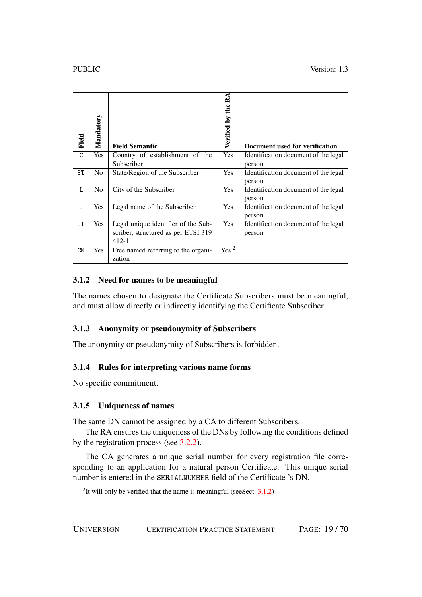| Field | Mandatory      | <b>Field Semantic</b>                                                                   | Verified by the RA | Document used for verification                  |
|-------|----------------|-----------------------------------------------------------------------------------------|--------------------|-------------------------------------------------|
| C     | <b>Yes</b>     | Country of establishment of the<br>Subscriber                                           | Yes                | Identification document of the legal<br>person. |
| ST    | N <sub>0</sub> | State/Region of the Subscriber                                                          | Yes                | Identification document of the legal<br>person. |
| L     | N <sub>0</sub> | City of the Subscriber                                                                  | Yes                | Identification document of the legal<br>person. |
| 0     | Yes            | Legal name of the Subscriber                                                            | Yes                | Identification document of the legal<br>person. |
| ΟI    | <b>Yes</b>     | Legal unique identifier of the Sub-<br>scriber, structured as per ETSI 319<br>$412 - 1$ | Yes                | Identification document of the legal<br>person. |
| CN    | Yes            | Free named referring to the organi-<br>zation                                           | Yes <sup>2</sup>   |                                                 |

### <span id="page-18-0"></span>3.1.2 Need for names to be meaningful

The names chosen to designate the Certificate Subscribers must be meaningful, and must allow directly or indirectly identifying the Certificate Subscriber.

### <span id="page-18-1"></span>3.1.3 Anonymity or pseudonymity of Subscribers

The anonymity or pseudonymity of Subscribers is forbidden.

### <span id="page-18-2"></span>3.1.4 Rules for interpreting various name forms

No specific commitment.

### <span id="page-18-3"></span>3.1.5 Uniqueness of names

The same DN cannot be assigned by a CA to different Subscribers.

The RA ensures the uniqueness of the DNs by following the conditions defined by the registration process (see [3.2.2\)](#page-19-3).

The CA generates a unique serial number for every registration file corresponding to an application for a natural person Certificate. This unique serial number is entered in the SERIALNUMBER field of the Certificate 's DN.

<sup>&</sup>lt;sup>2</sup>It will only be verified that the name is meaningful (see Sect.  $3.1.2$ )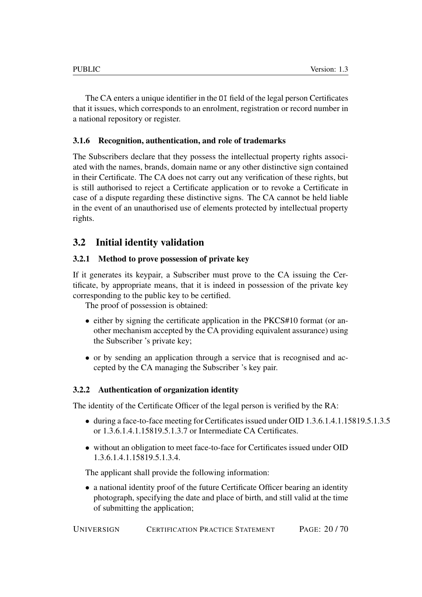The CA enters a unique identifier in the OI field of the legal person Certificates that it issues, which corresponds to an enrolment, registration or record number in a national repository or register.

### <span id="page-19-0"></span>3.1.6 Recognition, authentication, and role of trademarks

The Subscribers declare that they possess the intellectual property rights associated with the names, brands, domain name or any other distinctive sign contained in their Certificate. The CA does not carry out any verification of these rights, but is still authorised to reject a Certificate application or to revoke a Certificate in case of a dispute regarding these distinctive signs. The CA cannot be held liable in the event of an unauthorised use of elements protected by intellectual property rights.

# <span id="page-19-1"></span>3.2 Initial identity validation

### <span id="page-19-2"></span>3.2.1 Method to prove possession of private key

If it generates its keypair, a Subscriber must prove to the CA issuing the Certificate, by appropriate means, that it is indeed in possession of the private key corresponding to the public key to be certified.

The proof of possession is obtained:

- either by signing the certificate application in the PKCS#10 format (or another mechanism accepted by the CA providing equivalent assurance) using the Subscriber 's private key;
- or by sending an application through a service that is recognised and accepted by the CA managing the Subscriber 's key pair.

### <span id="page-19-3"></span>3.2.2 Authentication of organization identity

The identity of the Certificate Officer of the legal person is verified by the RA:

- during a face-to-face meeting for Certificates issued under OID 1.3.6.1.4.1.15819.5.1.3.5 or 1.3.6.1.4.1.15819.5.1.3.7 or Intermediate CA Certificates.
- without an obligation to meet face-to-face for Certificates issued under OID 1.3.6.1.4.1.15819.5.1.3.4.

The applicant shall provide the following information:

• a national identity proof of the future Certificate Officer bearing an identity photograph, specifying the date and place of birth, and still valid at the time of submitting the application;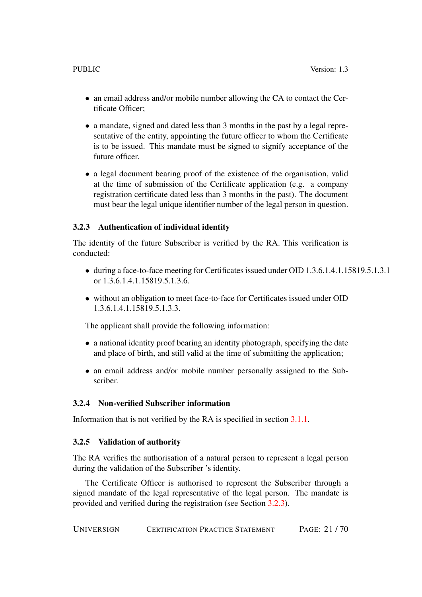- an email address and/or mobile number allowing the CA to contact the Certificate Officer;
- a mandate, signed and dated less than 3 months in the past by a legal representative of the entity, appointing the future officer to whom the Certificate is to be issued. This mandate must be signed to signify acceptance of the future officer.
- a legal document bearing proof of the existence of the organisation, valid at the time of submission of the Certificate application (e.g. a company registration certificate dated less than 3 months in the past). The document must bear the legal unique identifier number of the legal person in question.

#### <span id="page-20-0"></span>3.2.3 Authentication of individual identity

The identity of the future Subscriber is verified by the RA. This verification is conducted:

- during a face-to-face meeting for Certificates issued under OID 1.3.6.1.4.1.15819.5.1.3.1 or 1.3.6.1.4.1.15819.5.1.3.6.
- without an obligation to meet face-to-face for Certificates issued under OID 1.3.6.1.4.1.15819.5.1.3.3.

The applicant shall provide the following information:

- a national identity proof bearing an identity photograph, specifying the date and place of birth, and still valid at the time of submitting the application;
- an email address and/or mobile number personally assigned to the Subscriber.

### <span id="page-20-1"></span>3.2.4 Non-verified Subscriber information

Information that is not verified by the RA is specified in section [3.1.1.](#page-16-4)

#### <span id="page-20-2"></span>3.2.5 Validation of authority

The RA verifies the authorisation of a natural person to represent a legal person during the validation of the Subscriber 's identity.

The Certificate Officer is authorised to represent the Subscriber through a signed mandate of the legal representative of the legal person. The mandate is provided and verified during the registration (see Section [3.2.3\)](#page-20-0).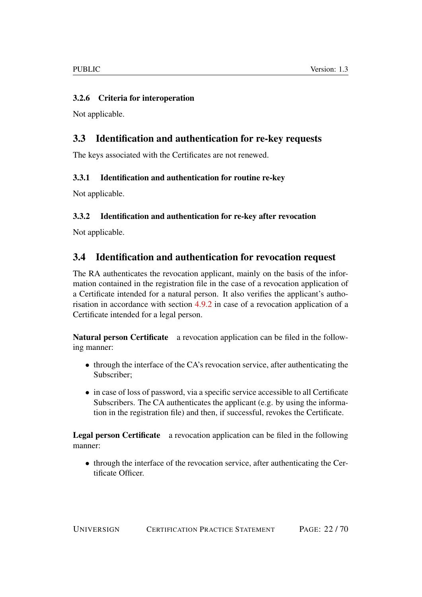### <span id="page-21-0"></span>3.2.6 Criteria for interoperation

Not applicable.

# <span id="page-21-1"></span>3.3 Identification and authentication for re-key requests

The keys associated with the Certificates are not renewed.

### <span id="page-21-2"></span>3.3.1 Identification and authentication for routine re-key

Not applicable.

## <span id="page-21-3"></span>3.3.2 Identification and authentication for re-key after revocation

Not applicable.

# <span id="page-21-4"></span>3.4 Identification and authentication for revocation request

The RA authenticates the revocation applicant, mainly on the basis of the information contained in the registration file in the case of a revocation application of a Certificate intended for a natural person. It also verifies the applicant's authorisation in accordance with section [4.9.2](#page-28-0) in case of a revocation application of a Certificate intended for a legal person.

Natural person Certificate a revocation application can be filed in the following manner:

- through the interface of the CA's revocation service, after authenticating the Subscriber;
- in case of loss of password, via a specific service accessible to all Certificate Subscribers. The CA authenticates the applicant (e.g. by using the information in the registration file) and then, if successful, revokes the Certificate.

Legal person Certificate a revocation application can be filed in the following manner:

• through the interface of the revocation service, after authenticating the Certificate Officer.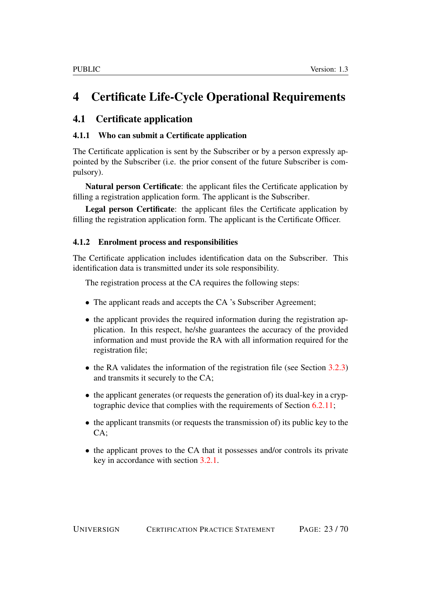# <span id="page-22-0"></span>4 Certificate Life-Cycle Operational Requirements

# <span id="page-22-1"></span>4.1 Certificate application

### <span id="page-22-2"></span>4.1.1 Who can submit a Certificate application

The Certificate application is sent by the Subscriber or by a person expressly appointed by the Subscriber (i.e. the prior consent of the future Subscriber is compulsory).

Natural person Certificate: the applicant files the Certificate application by filling a registration application form. The applicant is the Subscriber.

Legal person Certificate: the applicant files the Certificate application by filling the registration application form. The applicant is the Certificate Officer.

### <span id="page-22-3"></span>4.1.2 Enrolment process and responsibilities

The Certificate application includes identification data on the Subscriber. This identification data is transmitted under its sole responsibility.

The registration process at the CA requires the following steps:

- The applicant reads and accepts the CA 's Subscriber Agreement;
- the applicant provides the required information during the registration application. In this respect, he/she guarantees the accuracy of the provided information and must provide the RA with all information required for the registration file;
- the RA validates the information of the registration file (see Section [3.2.3\)](#page-20-0) and transmits it securely to the CA;
- the applicant generates (or requests the generation of) its dual-key in a cryptographic device that complies with the requirements of Section [6.2.11;](#page-47-4)
- the applicant transmits (or requests the transmission of) its public key to the  $CA:$
- the applicant proves to the CA that it possesses and/or controls its private key in accordance with section [3.2.1.](#page-19-2)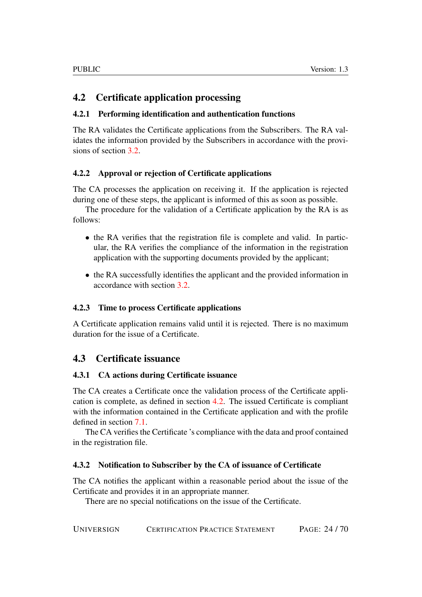# <span id="page-23-0"></span>4.2 Certificate application processing

### <span id="page-23-1"></span>4.2.1 Performing identification and authentication functions

The RA validates the Certificate applications from the Subscribers. The RA validates the information provided by the Subscribers in accordance with the provisions of section [3.2.](#page-19-1)

### <span id="page-23-2"></span>4.2.2 Approval or rejection of Certificate applications

The CA processes the application on receiving it. If the application is rejected during one of these steps, the applicant is informed of this as soon as possible.

The procedure for the validation of a Certificate application by the RA is as follows:

- the RA verifies that the registration file is complete and valid. In particular, the RA verifies the compliance of the information in the registration application with the supporting documents provided by the applicant;
- the RA successfully identifies the applicant and the provided information in accordance with section [3.2.](#page-19-1)

### <span id="page-23-3"></span>4.2.3 Time to process Certificate applications

A Certificate application remains valid until it is rejected. There is no maximum duration for the issue of a Certificate.

# <span id="page-23-4"></span>4.3 Certificate issuance

### <span id="page-23-5"></span>4.3.1 CA actions during Certificate issuance

The CA creates a Certificate once the validation process of the Certificate application is complete, as defined in section [4.2.](#page-23-0) The issued Certificate is compliant with the information contained in the Certificate application and with the profile defined in section [7.1.](#page-52-3)

The CA verifies the Certificate 's compliance with the data and proof contained in the registration file.

### <span id="page-23-6"></span>4.3.2 Notification to Subscriber by the CA of issuance of Certificate

The CA notifies the applicant within a reasonable period about the issue of the Certificate and provides it in an appropriate manner.

There are no special notifications on the issue of the Certificate.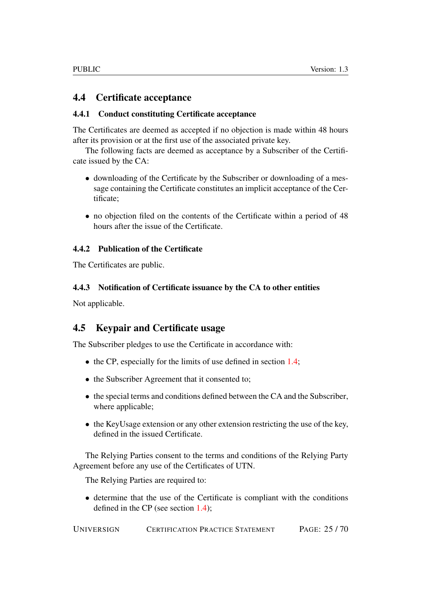### <span id="page-24-0"></span>4.4 Certificate acceptance

### <span id="page-24-1"></span>4.4.1 Conduct constituting Certificate acceptance

The Certificates are deemed as accepted if no objection is made within 48 hours after its provision or at the first use of the associated private key.

The following facts are deemed as acceptance by a Subscriber of the Certificate issued by the CA:

- downloading of the Certificate by the Subscriber or downloading of a message containing the Certificate constitutes an implicit acceptance of the Certificate;
- no objection filed on the contents of the Certificate within a period of 48 hours after the issue of the Certificate.

### <span id="page-24-2"></span>4.4.2 Publication of the Certificate

The Certificates are public.

### <span id="page-24-3"></span>4.4.3 Notification of Certificate issuance by the CA to other entities

Not applicable.

# <span id="page-24-4"></span>4.5 Keypair and Certificate usage

The Subscriber pledges to use the Certificate in accordance with:

- the CP, especially for the limits of use defined in section [1.4;](#page-12-1)
- the Subscriber Agreement that it consented to;
- the special terms and conditions defined between the CA and the Subscriber, where applicable;
- the KeyUsage extension or any other extension restricting the use of the key, defined in the issued Certificate.

The Relying Parties consent to the terms and conditions of the Relying Party Agreement before any use of the Certificates of UTN.

The Relying Parties are required to:

• determine that the use of the Certificate is compliant with the conditions defined in the CP (see section [1.4\)](#page-12-1);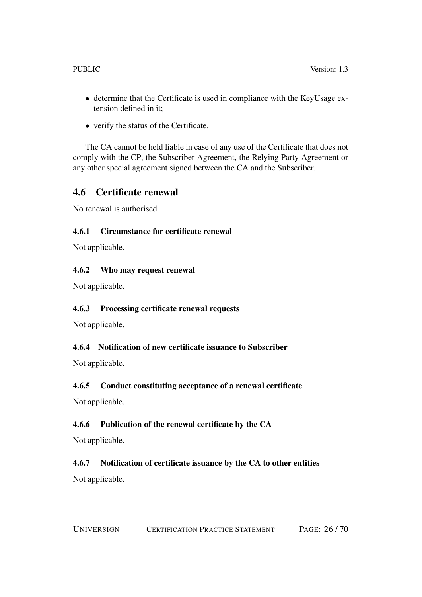- determine that the Certificate is used in compliance with the KeyUsage extension defined in it;
- verify the status of the Certificate.

The CA cannot be held liable in case of any use of the Certificate that does not comply with the CP, the Subscriber Agreement, the Relying Party Agreement or any other special agreement signed between the CA and the Subscriber.

# <span id="page-25-0"></span>4.6 Certificate renewal

No renewal is authorised.

### <span id="page-25-1"></span>4.6.1 Circumstance for certificate renewal

Not applicable.

### <span id="page-25-2"></span>4.6.2 Who may request renewal

Not applicable.

### <span id="page-25-3"></span>4.6.3 Processing certificate renewal requests

Not applicable.

### <span id="page-25-4"></span>4.6.4 Notification of new certificate issuance to Subscriber

Not applicable.

### <span id="page-25-5"></span>4.6.5 Conduct constituting acceptance of a renewal certificate

Not applicable.

### <span id="page-25-6"></span>4.6.6 Publication of the renewal certificate by the CA

Not applicable.

# <span id="page-25-7"></span>4.6.7 Notification of certificate issuance by the CA to other entities

Not applicable.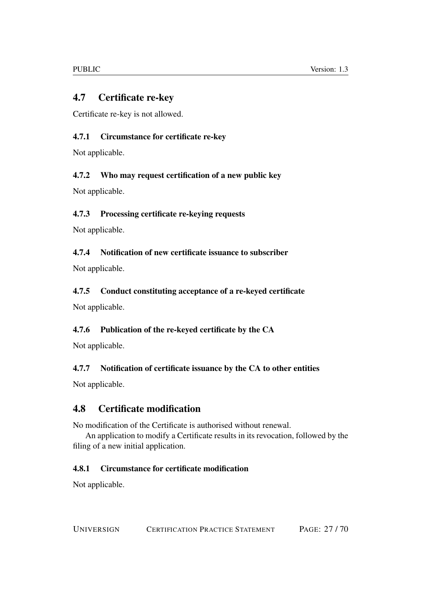# <span id="page-26-0"></span>4.7 Certificate re-key

Certificate re-key is not allowed.

# <span id="page-26-1"></span>4.7.1 Circumstance for certificate re-key

Not applicable.

## <span id="page-26-2"></span>4.7.2 Who may request certification of a new public key

Not applicable.

# <span id="page-26-3"></span>4.7.3 Processing certificate re-keying requests

Not applicable.

## <span id="page-26-4"></span>4.7.4 Notification of new certificate issuance to subscriber

Not applicable.

# <span id="page-26-5"></span>4.7.5 Conduct constituting acceptance of a re-keyed certificate

Not applicable.

# <span id="page-26-6"></span>4.7.6 Publication of the re-keyed certificate by the CA

Not applicable.

# <span id="page-26-7"></span>4.7.7 Notification of certificate issuance by the CA to other entities

Not applicable.

# <span id="page-26-8"></span>4.8 Certificate modification

No modification of the Certificate is authorised without renewal.

An application to modify a Certificate results in its revocation, followed by the filing of a new initial application.

# <span id="page-26-9"></span>4.8.1 Circumstance for certificate modification

Not applicable.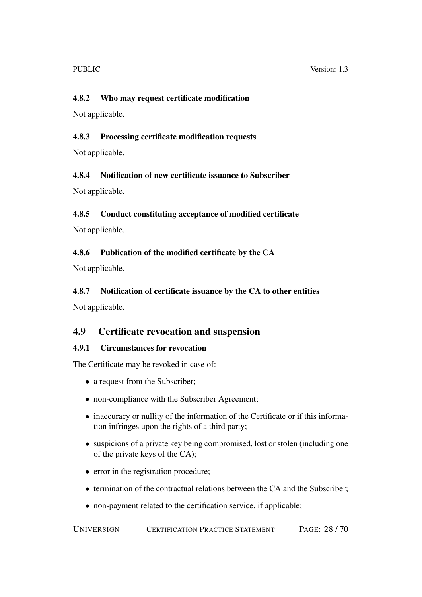### <span id="page-27-0"></span>4.8.2 Who may request certificate modification

Not applicable.

### <span id="page-27-1"></span>4.8.3 Processing certificate modification requests

Not applicable.

### <span id="page-27-2"></span>4.8.4 Notification of new certificate issuance to Subscriber

Not applicable.

### <span id="page-27-3"></span>4.8.5 Conduct constituting acceptance of modified certificate

Not applicable.

### <span id="page-27-4"></span>4.8.6 Publication of the modified certificate by the CA

Not applicable.

### <span id="page-27-5"></span>4.8.7 Notification of certificate issuance by the CA to other entities

Not applicable.

### <span id="page-27-6"></span>4.9 Certificate revocation and suspension

### <span id="page-27-7"></span>4.9.1 Circumstances for revocation

The Certificate may be revoked in case of:

- a request from the Subscriber;
- non-compliance with the Subscriber Agreement;
- inaccuracy or nullity of the information of the Certificate or if this information infringes upon the rights of a third party;
- suspicions of a private key being compromised, lost or stolen (including one of the private keys of the CA);
- error in the registration procedure;
- termination of the contractual relations between the CA and the Subscriber;
- non-payment related to the certification service, if applicable;

UNIVERSIGN CERTIFICATION PRACTICE STATEMENT PAGE: 28 / 70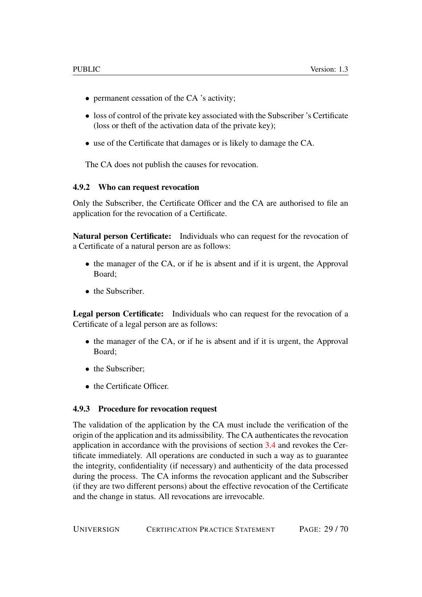- permanent cessation of the CA 's activity;
- loss of control of the private key associated with the Subscriber 's Certificate (loss or theft of the activation data of the private key);
- use of the Certificate that damages or is likely to damage the CA.

The CA does not publish the causes for revocation.

#### <span id="page-28-0"></span>4.9.2 Who can request revocation

Only the Subscriber, the Certificate Officer and the CA are authorised to file an application for the revocation of a Certificate.

Natural person Certificate: Individuals who can request for the revocation of a Certificate of a natural person are as follows:

- the manager of the CA, or if he is absent and if it is urgent, the Approval Board;
- the Subscriber.

Legal person Certificate: Individuals who can request for the revocation of a Certificate of a legal person are as follows:

- the manager of the CA, or if he is absent and if it is urgent, the Approval Board;
- the Subscriber:
- the Certificate Officer.

#### <span id="page-28-1"></span>4.9.3 Procedure for revocation request

The validation of the application by the CA must include the verification of the origin of the application and its admissibility. The CA authenticates the revocation application in accordance with the provisions of section [3.4](#page-21-4) and revokes the Certificate immediately. All operations are conducted in such a way as to guarantee the integrity, confidentiality (if necessary) and authenticity of the data processed during the process. The CA informs the revocation applicant and the Subscriber (if they are two different persons) about the effective revocation of the Certificate and the change in status. All revocations are irrevocable.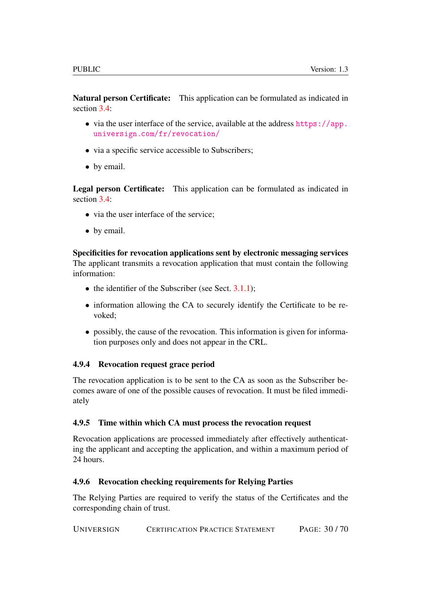Natural person Certificate: This application can be formulated as indicated in section  $3.4$ :

- via the user interface of the service, available at the address [https://app.](https://app.universign.com/fr/revocation/) [universign.com/fr/revocation/](https://app.universign.com/fr/revocation/)
- via a specific service accessible to Subscribers;
- by email.

Legal person Certificate: This application can be formulated as indicated in section [3.4:](#page-21-4)

- via the user interface of the service:
- by email.

Specificities for revocation applications sent by electronic messaging services The applicant transmits a revocation application that must contain the following information:

- the identifier of the Subscriber (see Sect.  $3.1.1$ );
- information allowing the CA to securely identify the Certificate to be revoked;
- possibly, the cause of the revocation. This information is given for information purposes only and does not appear in the CRL.

### <span id="page-29-0"></span>4.9.4 Revocation request grace period

The revocation application is to be sent to the CA as soon as the Subscriber becomes aware of one of the possible causes of revocation. It must be filed immediately

### <span id="page-29-1"></span>4.9.5 Time within which CA must process the revocation request

Revocation applications are processed immediately after effectively authenticating the applicant and accepting the application, and within a maximum period of 24 hours.

### <span id="page-29-2"></span>4.9.6 Revocation checking requirements for Relying Parties

The Relying Parties are required to verify the status of the Certificates and the corresponding chain of trust.

UNIVERSIGN CERTIFICATION PRACTICE STATEMENT PAGE: 30 / 70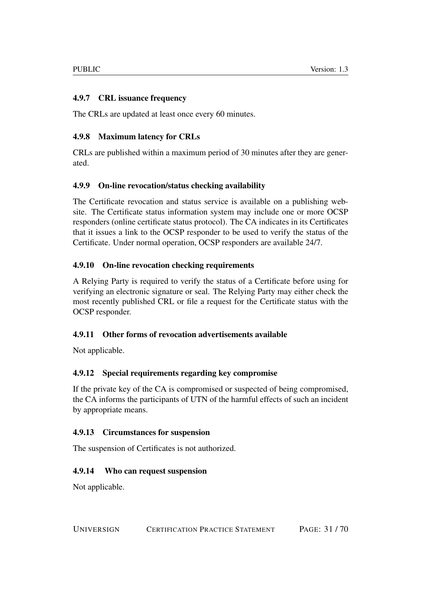### <span id="page-30-0"></span>4.9.7 CRL issuance frequency

The CRLs are updated at least once every 60 minutes.

### <span id="page-30-1"></span>4.9.8 Maximum latency for CRLs

CRLs are published within a maximum period of 30 minutes after they are generated.

### <span id="page-30-2"></span>4.9.9 On-line revocation/status checking availability

The Certificate revocation and status service is available on a publishing website. The Certificate status information system may include one or more OCSP responders (online certificate status protocol). The CA indicates in its Certificates that it issues a link to the OCSP responder to be used to verify the status of the Certificate. Under normal operation, OCSP responders are available 24/7.

### <span id="page-30-3"></span>4.9.10 On-line revocation checking requirements

A Relying Party is required to verify the status of a Certificate before using for verifying an electronic signature or seal. The Relying Party may either check the most recently published CRL or file a request for the Certificate status with the OCSP responder.

### <span id="page-30-4"></span>4.9.11 Other forms of revocation advertisements available

Not applicable.

### <span id="page-30-5"></span>4.9.12 Special requirements regarding key compromise

If the private key of the CA is compromised or suspected of being compromised, the CA informs the participants of UTN of the harmful effects of such an incident by appropriate means.

### <span id="page-30-6"></span>4.9.13 Circumstances for suspension

The suspension of Certificates is not authorized.

### <span id="page-30-7"></span>4.9.14 Who can request suspension

Not applicable.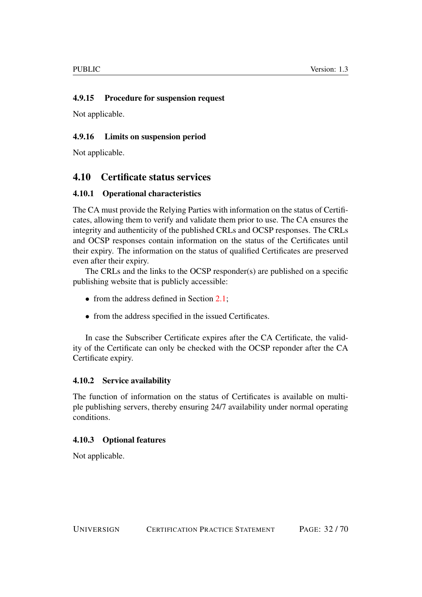### <span id="page-31-0"></span>4.9.15 Procedure for suspension request

Not applicable.

### <span id="page-31-1"></span>4.9.16 Limits on suspension period

Not applicable.

# <span id="page-31-2"></span>4.10 Certificate status services

### <span id="page-31-3"></span>4.10.1 Operational characteristics

The CA must provide the Relying Parties with information on the status of Certificates, allowing them to verify and validate them prior to use. The CA ensures the integrity and authenticity of the published CRLs and OCSP responses. The CRLs and OCSP responses contain information on the status of the Certificates until their expiry. The information on the status of qualified Certificates are preserved even after their expiry.

The CRLs and the links to the OCSP responder(s) are published on a specific publishing website that is publicly accessible:

- from the address defined in Section [2.1;](#page-15-1)
- from the address specified in the issued Certificates.

In case the Subscriber Certificate expires after the CA Certificate, the validity of the Certificate can only be checked with the OCSP reponder after the CA Certificate expiry.

### <span id="page-31-4"></span>4.10.2 Service availability

The function of information on the status of Certificates is available on multiple publishing servers, thereby ensuring 24/7 availability under normal operating conditions.

### <span id="page-31-5"></span>4.10.3 Optional features

Not applicable.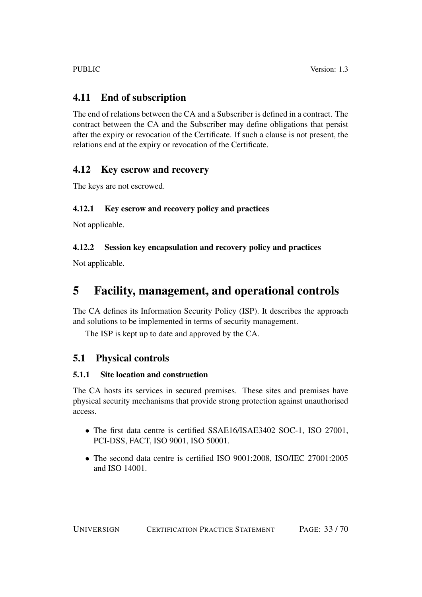# <span id="page-32-0"></span>4.11 End of subscription

The end of relations between the CA and a Subscriber is defined in a contract. The contract between the CA and the Subscriber may define obligations that persist after the expiry or revocation of the Certificate. If such a clause is not present, the relations end at the expiry or revocation of the Certificate.

# <span id="page-32-1"></span>4.12 Key escrow and recovery

The keys are not escrowed.

## <span id="page-32-2"></span>4.12.1 Key escrow and recovery policy and practices

Not applicable.

## <span id="page-32-3"></span>4.12.2 Session key encapsulation and recovery policy and practices

Not applicable.

# <span id="page-32-4"></span>5 Facility, management, and operational controls

The CA defines its Information Security Policy (ISP). It describes the approach and solutions to be implemented in terms of security management.

The ISP is kept up to date and approved by the CA.

# <span id="page-32-5"></span>5.1 Physical controls

### <span id="page-32-6"></span>5.1.1 Site location and construction

The CA hosts its services in secured premises. These sites and premises have physical security mechanisms that provide strong protection against unauthorised access.

- The first data centre is certified SSAE16/ISAE3402 SOC-1, ISO 27001, PCI-DSS, FACT, ISO 9001, ISO 50001.
- The second data centre is certified ISO 9001:2008, ISO/IEC 27001:2005 and ISO 14001.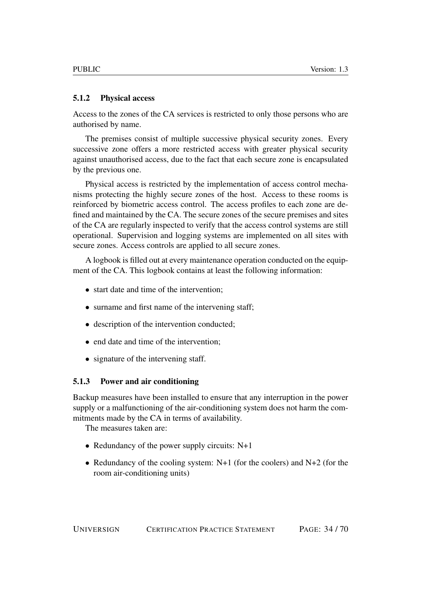#### <span id="page-33-0"></span>5.1.2 Physical access

Access to the zones of the CA services is restricted to only those persons who are authorised by name.

The premises consist of multiple successive physical security zones. Every successive zone offers a more restricted access with greater physical security against unauthorised access, due to the fact that each secure zone is encapsulated by the previous one.

Physical access is restricted by the implementation of access control mechanisms protecting the highly secure zones of the host. Access to these rooms is reinforced by biometric access control. The access profiles to each zone are defined and maintained by the CA. The secure zones of the secure premises and sites of the CA are regularly inspected to verify that the access control systems are still operational. Supervision and logging systems are implemented on all sites with secure zones. Access controls are applied to all secure zones.

A logbook is filled out at every maintenance operation conducted on the equipment of the CA. This logbook contains at least the following information:

- start date and time of the intervention;
- surname and first name of the intervening staff;
- description of the intervention conducted:
- end date and time of the intervention;
- signature of the intervening staff.

#### <span id="page-33-1"></span>5.1.3 Power and air conditioning

Backup measures have been installed to ensure that any interruption in the power supply or a malfunctioning of the air-conditioning system does not harm the commitments made by the CA in terms of availability.

The measures taken are:

- Redundancy of the power supply circuits: N+1
- Redundancy of the cooling system:  $N+1$  (for the coolers) and  $N+2$  (for the room air-conditioning units)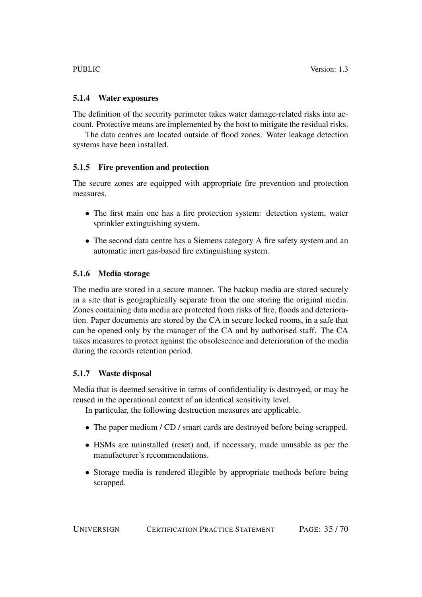#### <span id="page-34-0"></span>5.1.4 Water exposures

The definition of the security perimeter takes water damage-related risks into account. Protective means are implemented by the host to mitigate the residual risks.

The data centres are located outside of flood zones. Water leakage detection systems have been installed.

#### <span id="page-34-1"></span>5.1.5 Fire prevention and protection

The secure zones are equipped with appropriate fire prevention and protection measures.

- The first main one has a fire protection system: detection system, water sprinkler extinguishing system.
- The second data centre has a Siemens category A fire safety system and an automatic inert gas-based fire extinguishing system.

#### <span id="page-34-2"></span>5.1.6 Media storage

The media are stored in a secure manner. The backup media are stored securely in a site that is geographically separate from the one storing the original media. Zones containing data media are protected from risks of fire, floods and deterioration. Paper documents are stored by the CA in secure locked rooms, in a safe that can be opened only by the manager of the CA and by authorised staff. The CA takes measures to protect against the obsolescence and deterioration of the media during the records retention period.

#### <span id="page-34-3"></span>5.1.7 Waste disposal

Media that is deemed sensitive in terms of confidentiality is destroyed, or may be reused in the operational context of an identical sensitivity level.

In particular, the following destruction measures are applicable.

- The paper medium / CD / smart cards are destroyed before being scrapped.
- HSMs are uninstalled (reset) and, if necessary, made unusable as per the manufacturer's recommendations.
- Storage media is rendered illegible by appropriate methods before being scrapped.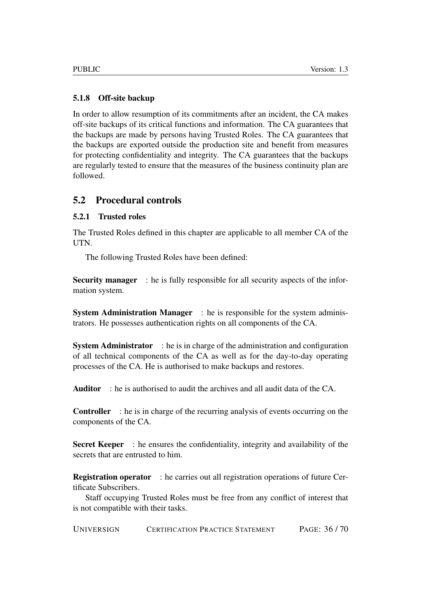### <span id="page-35-0"></span>5.1.8 Off-site backup

In order to allow resumption of its commitments after an incident, the CA makes off-site backups of its critical functions and information. The CA guarantees that the backups are made by persons having Trusted Roles. The CA guarantees that the backups are exported outside the production site and benefit from measures for protecting confidentiality and integrity. The CA guarantees that the backups are regularly tested to ensure that the measures of the business continuity plan are followed.

# <span id="page-35-1"></span>5.2 Procedural controls

### <span id="page-35-2"></span>5.2.1 Trusted roles

The Trusted Roles defined in this chapter are applicable to all member CA of the UTN.

The following Trusted Roles have been defined:

Security manager : he is fully responsible for all security aspects of the information system.

System Administration Manager : he is responsible for the system administrators. He possesses authentication rights on all components of the CA.

System Administrator : he is in charge of the administration and configuration of all technical components of the CA as well as for the day-to-day operating processes of the CA. He is authorised to make backups and restores.

Auditor : he is authorised to audit the archives and all audit data of the CA.

Controller : he is in charge of the recurring analysis of events occurring on the components of the CA.

Secret Keeper : he ensures the confidentiality, integrity and availability of the secrets that are entrusted to him.

Registration operator : he carries out all registration operations of future Certificate Subscribers.

Staff occupying Trusted Roles must be free from any conflict of interest that is not compatible with their tasks.

UNIVERSIGN CERTIFICATION PRACTICE STATEMENT PAGE: 36 / 70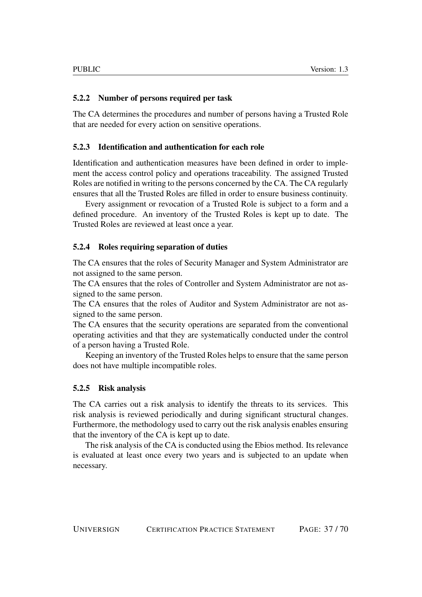### <span id="page-36-0"></span>5.2.2 Number of persons required per task

The CA determines the procedures and number of persons having a Trusted Role that are needed for every action on sensitive operations.

### <span id="page-36-1"></span>5.2.3 Identification and authentication for each role

Identification and authentication measures have been defined in order to implement the access control policy and operations traceability. The assigned Trusted Roles are notified in writing to the persons concerned by the CA. The CA regularly ensures that all the Trusted Roles are filled in order to ensure business continuity.

Every assignment or revocation of a Trusted Role is subject to a form and a defined procedure. An inventory of the Trusted Roles is kept up to date. The Trusted Roles are reviewed at least once a year.

### <span id="page-36-2"></span>5.2.4 Roles requiring separation of duties

The CA ensures that the roles of Security Manager and System Administrator are not assigned to the same person.

The CA ensures that the roles of Controller and System Administrator are not assigned to the same person.

The CA ensures that the roles of Auditor and System Administrator are not assigned to the same person.

The CA ensures that the security operations are separated from the conventional operating activities and that they are systematically conducted under the control of a person having a Trusted Role.

Keeping an inventory of the Trusted Roles helps to ensure that the same person does not have multiple incompatible roles.

### <span id="page-36-3"></span>5.2.5 Risk analysis

The CA carries out a risk analysis to identify the threats to its services. This risk analysis is reviewed periodically and during significant structural changes. Furthermore, the methodology used to carry out the risk analysis enables ensuring that the inventory of the CA is kept up to date.

The risk analysis of the CA is conducted using the Ebios method. Its relevance is evaluated at least once every two years and is subjected to an update when necessary.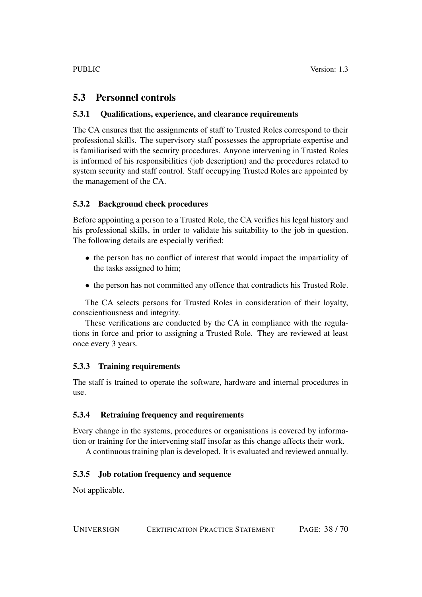# <span id="page-37-0"></span>5.3 Personnel controls

### <span id="page-37-1"></span>5.3.1 Qualifications, experience, and clearance requirements

The CA ensures that the assignments of staff to Trusted Roles correspond to their professional skills. The supervisory staff possesses the appropriate expertise and is familiarised with the security procedures. Anyone intervening in Trusted Roles is informed of his responsibilities (job description) and the procedures related to system security and staff control. Staff occupying Trusted Roles are appointed by the management of the CA.

### <span id="page-37-2"></span>5.3.2 Background check procedures

Before appointing a person to a Trusted Role, the CA verifies his legal history and his professional skills, in order to validate his suitability to the job in question. The following details are especially verified:

- the person has no conflict of interest that would impact the impartiality of the tasks assigned to him;
- the person has not committed any offence that contradicts his Trusted Role.

The CA selects persons for Trusted Roles in consideration of their loyalty, conscientiousness and integrity.

These verifications are conducted by the CA in compliance with the regulations in force and prior to assigning a Trusted Role. They are reviewed at least once every 3 years.

### <span id="page-37-3"></span>5.3.3 Training requirements

The staff is trained to operate the software, hardware and internal procedures in use.

### <span id="page-37-4"></span>5.3.4 Retraining frequency and requirements

Every change in the systems, procedures or organisations is covered by information or training for the intervening staff insofar as this change affects their work.

A continuous training plan is developed. It is evaluated and reviewed annually.

### <span id="page-37-5"></span>5.3.5 Job rotation frequency and sequence

Not applicable.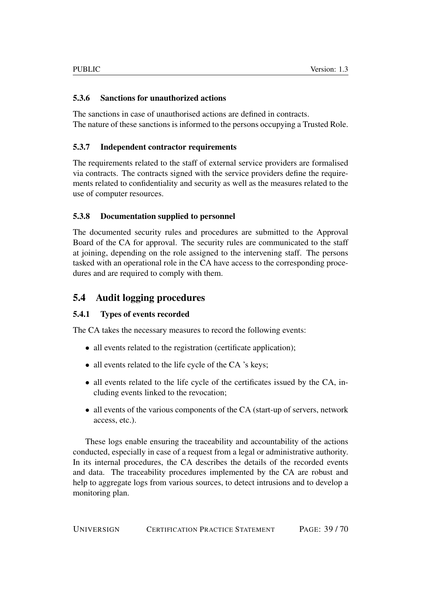### <span id="page-38-0"></span>5.3.6 Sanctions for unauthorized actions

The sanctions in case of unauthorised actions are defined in contracts. The nature of these sanctions is informed to the persons occupying a Trusted Role.

### <span id="page-38-1"></span>5.3.7 Independent contractor requirements

The requirements related to the staff of external service providers are formalised via contracts. The contracts signed with the service providers define the requirements related to confidentiality and security as well as the measures related to the use of computer resources.

### <span id="page-38-2"></span>5.3.8 Documentation supplied to personnel

The documented security rules and procedures are submitted to the Approval Board of the CA for approval. The security rules are communicated to the staff at joining, depending on the role assigned to the intervening staff. The persons tasked with an operational role in the CA have access to the corresponding procedures and are required to comply with them.

# <span id="page-38-3"></span>5.4 Audit logging procedures

### <span id="page-38-4"></span>5.4.1 Types of events recorded

The CA takes the necessary measures to record the following events:

- all events related to the registration (certificate application);
- all events related to the life cycle of the CA 's keys;
- all events related to the life cycle of the certificates issued by the CA, including events linked to the revocation;
- all events of the various components of the CA (start-up of servers, network access, etc.).

These logs enable ensuring the traceability and accountability of the actions conducted, especially in case of a request from a legal or administrative authority. In its internal procedures, the CA describes the details of the recorded events and data. The traceability procedures implemented by the CA are robust and help to aggregate logs from various sources, to detect intrusions and to develop a monitoring plan.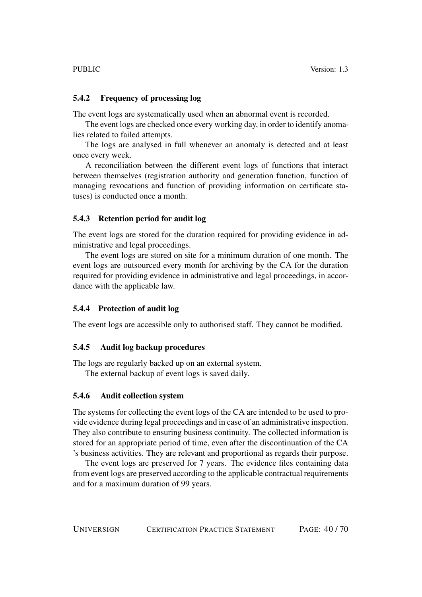#### <span id="page-39-0"></span>5.4.2 Frequency of processing log

The event logs are systematically used when an abnormal event is recorded.

The event logs are checked once every working day, in order to identify anomalies related to failed attempts.

The logs are analysed in full whenever an anomaly is detected and at least once every week.

A reconciliation between the different event logs of functions that interact between themselves (registration authority and generation function, function of managing revocations and function of providing information on certificate statuses) is conducted once a month.

#### <span id="page-39-1"></span>5.4.3 Retention period for audit log

The event logs are stored for the duration required for providing evidence in administrative and legal proceedings.

The event logs are stored on site for a minimum duration of one month. The event logs are outsourced every month for archiving by the CA for the duration required for providing evidence in administrative and legal proceedings, in accordance with the applicable law.

#### <span id="page-39-2"></span>5.4.4 Protection of audit log

The event logs are accessible only to authorised staff. They cannot be modified.

#### <span id="page-39-3"></span>5.4.5 Audit log backup procedures

The logs are regularly backed up on an external system.

The external backup of event logs is saved daily.

### <span id="page-39-4"></span>5.4.6 Audit collection system

The systems for collecting the event logs of the CA are intended to be used to provide evidence during legal proceedings and in case of an administrative inspection. They also contribute to ensuring business continuity. The collected information is stored for an appropriate period of time, even after the discontinuation of the CA 's business activities. They are relevant and proportional as regards their purpose.

The event logs are preserved for 7 years. The evidence files containing data from event logs are preserved according to the applicable contractual requirements and for a maximum duration of 99 years.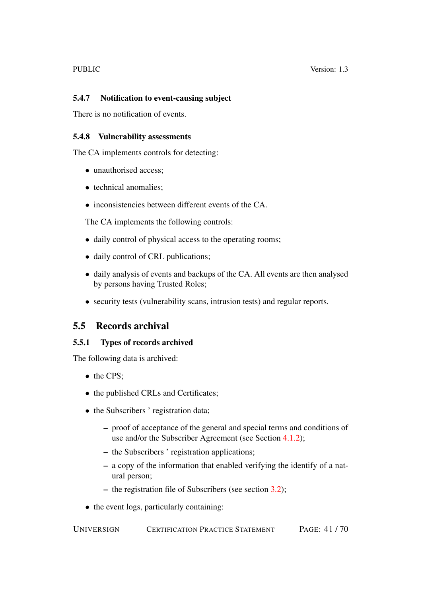### <span id="page-40-0"></span>5.4.7 Notification to event-causing subject

There is no notification of events.

#### <span id="page-40-1"></span>5.4.8 Vulnerability assessments

The CA implements controls for detecting:

- unauthorised access;
- technical anomalies:
- inconsistencies between different events of the CA.

The CA implements the following controls:

- daily control of physical access to the operating rooms;
- daily control of CRL publications;
- daily analysis of events and backups of the CA. All events are then analysed by persons having Trusted Roles;
- security tests (vulnerability scans, intrusion tests) and regular reports.

# <span id="page-40-2"></span>5.5 Records archival

### <span id="page-40-3"></span>5.5.1 Types of records archived

The following data is archived:

- the CPS;
- the published CRLs and Certificates;
- the Subscribers ' registration data;
	- proof of acceptance of the general and special terms and conditions of use and/or the Subscriber Agreement (see Section [4.1.2\)](#page-22-3);
	- the Subscribers ' registration applications;
	- a copy of the information that enabled verifying the identify of a natural person;
	- the registration file of Subscribers (see section [3.2\)](#page-19-1);
- the event logs, particularly containing: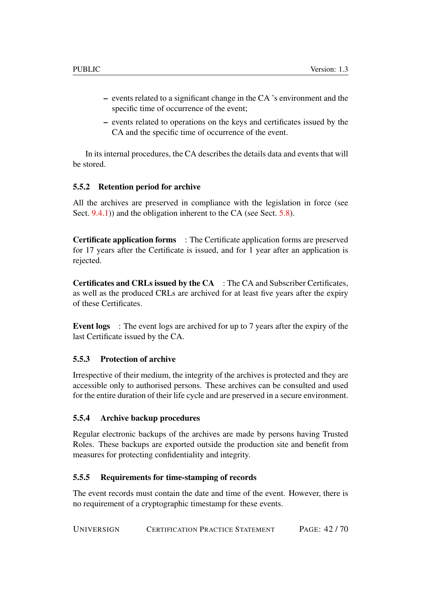- events related to a significant change in the CA 's environment and the specific time of occurrence of the event;
- events related to operations on the keys and certificates issued by the CA and the specific time of occurrence of the event.

In its internal procedures, the CA describes the details data and events that will be stored.

### <span id="page-41-0"></span>5.5.2 Retention period for archive

All the archives are preserved in compliance with the legislation in force (see Sect. [9.4.1\)](#page-61-3)) and the obligation inherent to the CA (see Sect. [5.8\)](#page-43-1).

Certificate application forms : The Certificate application forms are preserved for 17 years after the Certificate is issued, and for 1 year after an application is rejected.

Certificates and CRLs issued by the CA : The CA and Subscriber Certificates, as well as the produced CRLs are archived for at least five years after the expiry of these Certificates.

Event logs : The event logs are archived for up to 7 years after the expiry of the last Certificate issued by the CA.

### <span id="page-41-1"></span>5.5.3 Protection of archive

Irrespective of their medium, the integrity of the archives is protected and they are accessible only to authorised persons. These archives can be consulted and used for the entire duration of their life cycle and are preserved in a secure environment.

### <span id="page-41-2"></span>5.5.4 Archive backup procedures

Regular electronic backups of the archives are made by persons having Trusted Roles. These backups are exported outside the production site and benefit from measures for protecting confidentiality and integrity.

### <span id="page-41-3"></span>5.5.5 Requirements for time-stamping of records

The event records must contain the date and time of the event. However, there is no requirement of a cryptographic timestamp for these events.

UNIVERSIGN CERTIFICATION PRACTICE STATEMENT PAGE: 42 / 70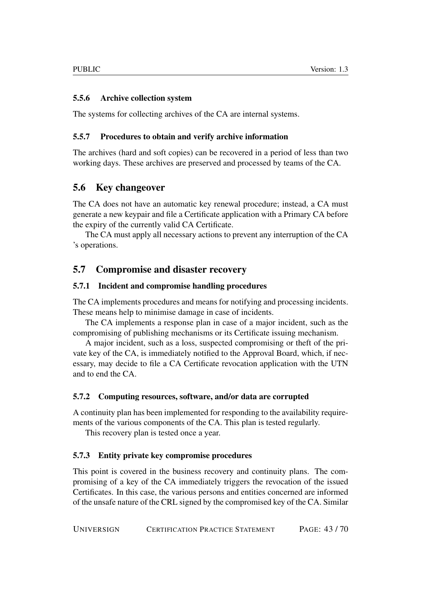### <span id="page-42-0"></span>5.5.6 Archive collection system

The systems for collecting archives of the CA are internal systems.

### <span id="page-42-1"></span>5.5.7 Procedures to obtain and verify archive information

The archives (hard and soft copies) can be recovered in a period of less than two working days. These archives are preserved and processed by teams of the CA.

# <span id="page-42-2"></span>5.6 Key changeover

The CA does not have an automatic key renewal procedure; instead, a CA must generate a new keypair and file a Certificate application with a Primary CA before the expiry of the currently valid CA Certificate.

The CA must apply all necessary actions to prevent any interruption of the CA 's operations.

# <span id="page-42-3"></span>5.7 Compromise and disaster recovery

### <span id="page-42-4"></span>5.7.1 Incident and compromise handling procedures

The CA implements procedures and means for notifying and processing incidents. These means help to minimise damage in case of incidents.

The CA implements a response plan in case of a major incident, such as the compromising of publishing mechanisms or its Certificate issuing mechanism.

A major incident, such as a loss, suspected compromising or theft of the private key of the CA, is immediately notified to the Approval Board, which, if necessary, may decide to file a CA Certificate revocation application with the UTN and to end the CA.

### <span id="page-42-5"></span>5.7.2 Computing resources, software, and/or data are corrupted

A continuity plan has been implemented for responding to the availability requirements of the various components of the CA. This plan is tested regularly.

This recovery plan is tested once a year.

### <span id="page-42-6"></span>5.7.3 Entity private key compromise procedures

This point is covered in the business recovery and continuity plans. The compromising of a key of the CA immediately triggers the revocation of the issued Certificates. In this case, the various persons and entities concerned are informed of the unsafe nature of the CRL signed by the compromised key of the CA. Similar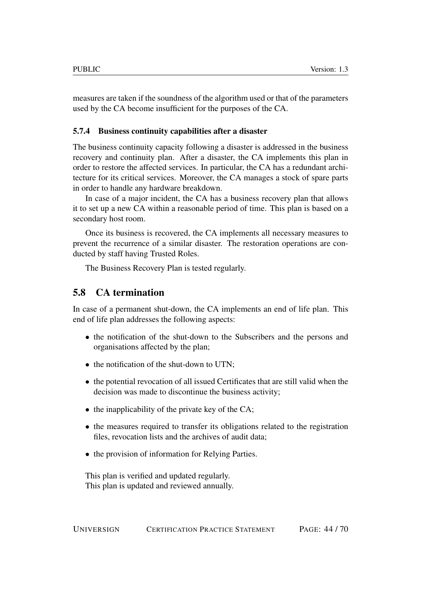measures are taken if the soundness of the algorithm used or that of the parameters used by the CA become insufficient for the purposes of the CA.

#### <span id="page-43-0"></span>5.7.4 Business continuity capabilities after a disaster

The business continuity capacity following a disaster is addressed in the business recovery and continuity plan. After a disaster, the CA implements this plan in order to restore the affected services. In particular, the CA has a redundant architecture for its critical services. Moreover, the CA manages a stock of spare parts in order to handle any hardware breakdown.

In case of a major incident, the CA has a business recovery plan that allows it to set up a new CA within a reasonable period of time. This plan is based on a secondary host room.

Once its business is recovered, the CA implements all necessary measures to prevent the recurrence of a similar disaster. The restoration operations are conducted by staff having Trusted Roles.

The Business Recovery Plan is tested regularly.

# <span id="page-43-1"></span>5.8 CA termination

In case of a permanent shut-down, the CA implements an end of life plan. This end of life plan addresses the following aspects:

- the notification of the shut-down to the Subscribers and the persons and organisations affected by the plan;
- the notification of the shut-down to UTN;
- the potential revocation of all issued Certificates that are still valid when the decision was made to discontinue the business activity;
- the inapplicability of the private key of the CA;
- the measures required to transfer its obligations related to the registration files, revocation lists and the archives of audit data;
- the provision of information for Relying Parties.

This plan is verified and updated regularly. This plan is updated and reviewed annually.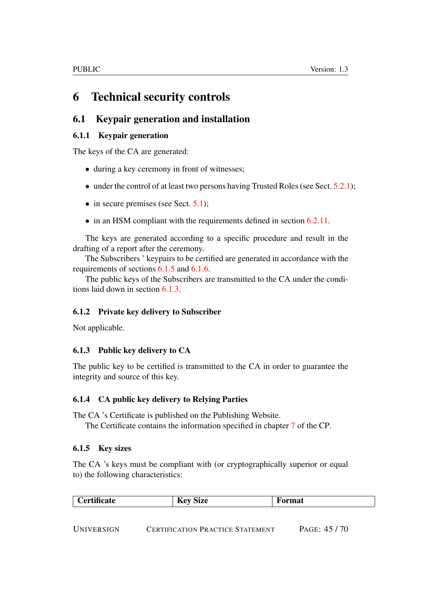# <span id="page-44-0"></span>6 Technical security controls

# <span id="page-44-1"></span>6.1 Keypair generation and installation

## <span id="page-44-2"></span>6.1.1 Keypair generation

The keys of the CA are generated:

- during a key ceremony in front of witnesses;
- under the control of at least two persons having Trusted Roles (see Sect.  $5.2.1$ );
- in secure premises (see Sect. [5.1\)](#page-32-5);
- in an HSM compliant with the requirements defined in section [6.2.11.](#page-47-4)

The keys are generated according to a specific procedure and result in the drafting of a report after the ceremony.

The Subscribers ' keypairs to be certified are generated in accordance with the requirements of sections [6.1.5](#page-44-6) and [6.1.6.](#page-45-0)

The public keys of the Subscribers are transmitted to the CA under the conditions laid down in section [6.1.3.](#page-44-4)

# <span id="page-44-3"></span>6.1.2 Private key delivery to Subscriber

Not applicable.

# <span id="page-44-4"></span>6.1.3 Public key delivery to CA

The public key to be certified is transmitted to the CA in order to guarantee the integrity and source of this key.

### <span id="page-44-5"></span>6.1.4 CA public key delivery to Relying Parties

The CA 's Certificate is published on the Publishing Website.

The Certificate contains the information specified in chapter [7](#page-52-2) of the CP.

### <span id="page-44-6"></span>6.1.5 Key sizes

The CA 's keys must be compliant with (or cryptographically superior or equal to) the following characteristics:

| $\sim$<br><b>to finate</b><br>$-$<br>$\sim$<br>--<br>. 01<br>Size<br>огша<br>$\sim$ |
|-------------------------------------------------------------------------------------|
|-------------------------------------------------------------------------------------|

UNIVERSIGN CERTIFICATION PRACTICE STATEMENT PAGE: 45 / 70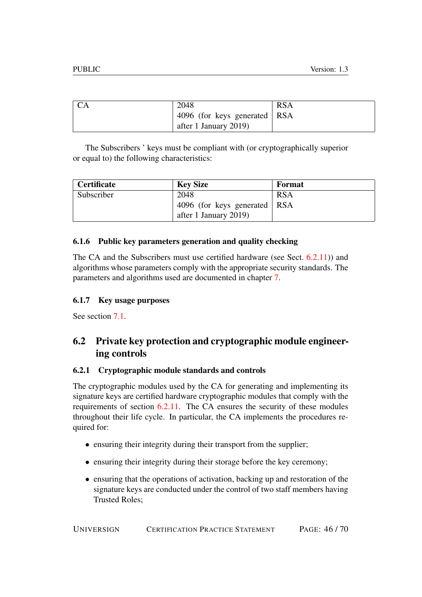| <b>CA</b> | 2048                         | <b>RSA</b> |
|-----------|------------------------------|------------|
|           | 4096 (for keys generated RSA |            |
|           | after 1 January 2019)        |            |

The Subscribers ' keys must be compliant with (or cryptographically superior or equal to) the following characteristics:

| <b>Certificate</b> | <b>Key Size</b>                | Format     |
|--------------------|--------------------------------|------------|
| Subscriber         | 2048                           | <b>RSA</b> |
|                    | 4096 (for keys generated   RSA |            |
|                    | after 1 January 2019)          |            |

### <span id="page-45-0"></span>6.1.6 Public key parameters generation and quality checking

The CA and the Subscribers must use certified hardware (see Sect. [6.2.11\)](#page-47-4)) and algorithms whose parameters comply with the appropriate security standards. The parameters and algorithms used are documented in chapter [7.](#page-52-2)

### <span id="page-45-1"></span>6.1.7 Key usage purposes

See section  $7.1$ .

# <span id="page-45-2"></span>6.2 Private key protection and cryptographic module engineering controls

### <span id="page-45-3"></span>6.2.1 Cryptographic module standards and controls

The cryptographic modules used by the CA for generating and implementing its signature keys are certified hardware cryptographic modules that comply with the requirements of section [6.2.11.](#page-47-4) The CA ensures the security of these modules throughout their life cycle. In particular, the CA implements the procedures required for:

- ensuring their integrity during their transport from the supplier;
- ensuring their integrity during their storage before the key ceremony;
- ensuring that the operations of activation, backing up and restoration of the signature keys are conducted under the control of two staff members having Trusted Roles;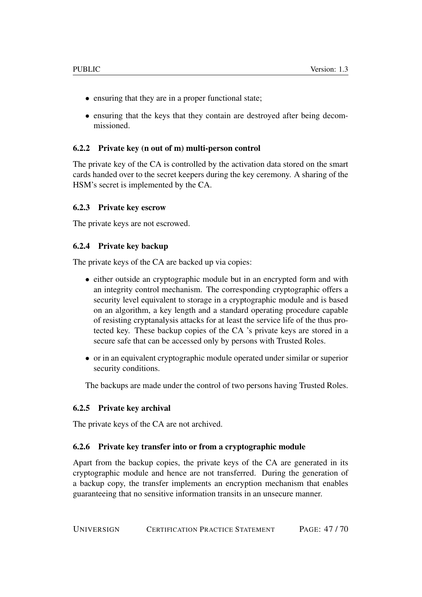- ensuring that they are in a proper functional state;
- ensuring that the keys that they contain are destroyed after being decommissioned.

### <span id="page-46-0"></span>6.2.2 Private key (n out of m) multi-person control

The private key of the CA is controlled by the activation data stored on the smart cards handed over to the secret keepers during the key ceremony. A sharing of the HSM's secret is implemented by the CA.

#### <span id="page-46-1"></span>6.2.3 Private key escrow

The private keys are not escrowed.

#### <span id="page-46-2"></span>6.2.4 Private key backup

The private keys of the CA are backed up via copies:

- either outside an cryptographic module but in an encrypted form and with an integrity control mechanism. The corresponding cryptographic offers a security level equivalent to storage in a cryptographic module and is based on an algorithm, a key length and a standard operating procedure capable of resisting cryptanalysis attacks for at least the service life of the thus protected key. These backup copies of the CA 's private keys are stored in a secure safe that can be accessed only by persons with Trusted Roles.
- or in an equivalent cryptographic module operated under similar or superior security conditions.

The backups are made under the control of two persons having Trusted Roles.

### <span id="page-46-3"></span>6.2.5 Private key archival

The private keys of the CA are not archived.

### <span id="page-46-4"></span>6.2.6 Private key transfer into or from a cryptographic module

Apart from the backup copies, the private keys of the CA are generated in its cryptographic module and hence are not transferred. During the generation of a backup copy, the transfer implements an encryption mechanism that enables guaranteeing that no sensitive information transits in an unsecure manner.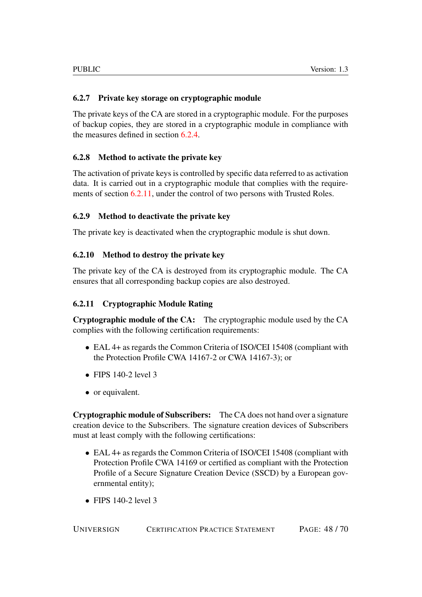### <span id="page-47-0"></span>6.2.7 Private key storage on cryptographic module

The private keys of the CA are stored in a cryptographic module. For the purposes of backup copies, they are stored in a cryptographic module in compliance with the measures defined in section [6.2.4.](#page-46-2)

### <span id="page-47-1"></span>6.2.8 Method to activate the private key

The activation of private keys is controlled by specific data referred to as activation data. It is carried out in a cryptographic module that complies with the requirements of section [6.2.11,](#page-47-4) under the control of two persons with Trusted Roles.

### <span id="page-47-2"></span>6.2.9 Method to deactivate the private key

The private key is deactivated when the cryptographic module is shut down.

### <span id="page-47-3"></span>6.2.10 Method to destroy the private key

The private key of the CA is destroyed from its cryptographic module. The CA ensures that all corresponding backup copies are also destroyed.

### <span id="page-47-4"></span>6.2.11 Cryptographic Module Rating

Cryptographic module of the CA: The cryptographic module used by the CA complies with the following certification requirements:

- EAL 4+ as regards the Common Criteria of ISO/CEI 15408 (compliant with the Protection Profile CWA 14167-2 or CWA 14167-3); or
- FIPS  $140-2$  level 3
- or equivalent.

Cryptographic module of Subscribers: The CA does not hand over a signature creation device to the Subscribers. The signature creation devices of Subscribers must at least comply with the following certifications:

- EAL 4+ as regards the Common Criteria of ISO/CEI 15408 (compliant with Protection Profile CWA 14169 or certified as compliant with the Protection Profile of a Secure Signature Creation Device (SSCD) by a European governmental entity);
- FIPS  $140-2$  level 3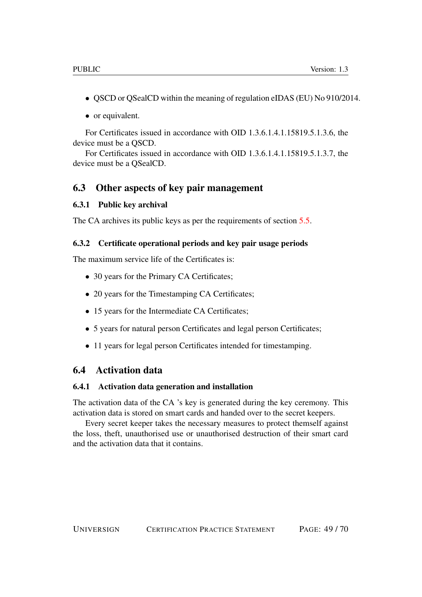- QSCD or QSealCD within the meaning of regulation eIDAS (EU) No 910/2014.
- or equivalent.

For Certificates issued in accordance with OID 1.3.6.1.4.1.15819.5.1.3.6, the device must be a QSCD.

For Certificates issued in accordance with OID 1.3.6.1.4.1.15819.5.1.3.7, the device must be a QSealCD.

### <span id="page-48-0"></span>6.3 Other aspects of key pair management

#### <span id="page-48-1"></span>6.3.1 Public key archival

The CA archives its public keys as per the requirements of section [5.5.](#page-40-2)

#### <span id="page-48-2"></span>6.3.2 Certificate operational periods and key pair usage periods

The maximum service life of the Certificates is:

- 30 years for the Primary CA Certificates;
- 20 years for the Timestamping CA Certificates;
- 15 years for the Intermediate CA Certificates;
- 5 years for natural person Certificates and legal person Certificates;
- 11 years for legal person Certificates intended for timestamping.

## <span id="page-48-3"></span>6.4 Activation data

#### <span id="page-48-4"></span>6.4.1 Activation data generation and installation

The activation data of the CA 's key is generated during the key ceremony. This activation data is stored on smart cards and handed over to the secret keepers.

Every secret keeper takes the necessary measures to protect themself against the loss, theft, unauthorised use or unauthorised destruction of their smart card and the activation data that it contains.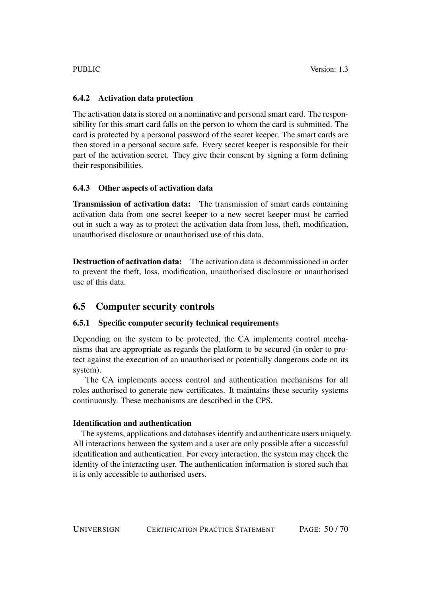### <span id="page-49-0"></span>6.4.2 Activation data protection

The activation data is stored on a nominative and personal smart card. The responsibility for this smart card falls on the person to whom the card is submitted. The card is protected by a personal password of the secret keeper. The smart cards are then stored in a personal secure safe. Every secret keeper is responsible for their part of the activation secret. They give their consent by signing a form defining their responsibilities.

### <span id="page-49-1"></span>6.4.3 Other aspects of activation data

Transmission of activation data: The transmission of smart cards containing activation data from one secret keeper to a new secret keeper must be carried out in such a way as to protect the activation data from loss, theft, modification, unauthorised disclosure or unauthorised use of this data.

Destruction of activation data: The activation data is decommissioned in order to prevent the theft, loss, modification, unauthorised disclosure or unauthorised use of this data.

# <span id="page-49-2"></span>6.5 Computer security controls

### <span id="page-49-3"></span>6.5.1 Specific computer security technical requirements

Depending on the system to be protected, the CA implements control mechanisms that are appropriate as regards the platform to be secured (in order to protect against the execution of an unauthorised or potentially dangerous code on its system).

The CA implements access control and authentication mechanisms for all roles authorised to generate new certificates. It maintains these security systems continuously. These mechanisms are described in the CPS.

### Identification and authentication

The systems, applications and databases identify and authenticate users uniquely. All interactions between the system and a user are only possible after a successful identification and authentication. For every interaction, the system may check the identity of the interacting user. The authentication information is stored such that it is only accessible to authorised users.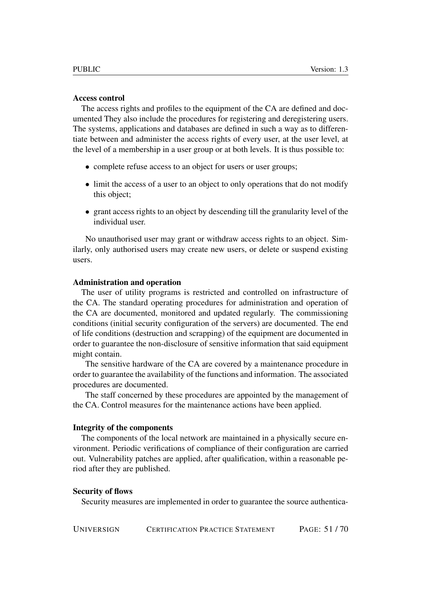#### Access control

The access rights and profiles to the equipment of the CA are defined and documented They also include the procedures for registering and deregistering users. The systems, applications and databases are defined in such a way as to differentiate between and administer the access rights of every user, at the user level, at the level of a membership in a user group or at both levels. It is thus possible to:

- complete refuse access to an object for users or user groups;
- limit the access of a user to an object to only operations that do not modify this object;
- grant access rights to an object by descending till the granularity level of the individual user.

No unauthorised user may grant or withdraw access rights to an object. Similarly, only authorised users may create new users, or delete or suspend existing users.

#### Administration and operation

The user of utility programs is restricted and controlled on infrastructure of the CA. The standard operating procedures for administration and operation of the CA are documented, monitored and updated regularly. The commissioning conditions (initial security configuration of the servers) are documented. The end of life conditions (destruction and scrapping) of the equipment are documented in order to guarantee the non-disclosure of sensitive information that said equipment might contain.

The sensitive hardware of the CA are covered by a maintenance procedure in order to guarantee the availability of the functions and information. The associated procedures are documented.

The staff concerned by these procedures are appointed by the management of the CA. Control measures for the maintenance actions have been applied.

#### Integrity of the components

The components of the local network are maintained in a physically secure environment. Periodic verifications of compliance of their configuration are carried out. Vulnerability patches are applied, after qualification, within a reasonable period after they are published.

#### Security of flows

Security measures are implemented in order to guarantee the source authentica-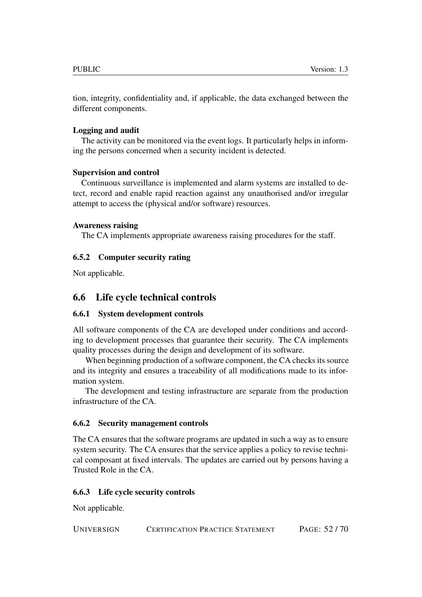tion, integrity, confidentiality and, if applicable, the data exchanged between the different components.

### Logging and audit

The activity can be monitored via the event logs. It particularly helps in informing the persons concerned when a security incident is detected.

### Supervision and control

Continuous surveillance is implemented and alarm systems are installed to detect, record and enable rapid reaction against any unauthorised and/or irregular attempt to access the (physical and/or software) resources.

#### Awareness raising

The CA implements appropriate awareness raising procedures for the staff.

### <span id="page-51-0"></span>6.5.2 Computer security rating

Not applicable.

# <span id="page-51-1"></span>6.6 Life cycle technical controls

### <span id="page-51-2"></span>6.6.1 System development controls

All software components of the CA are developed under conditions and according to development processes that guarantee their security. The CA implements quality processes during the design and development of its software.

When beginning production of a software component, the CA checks its source and its integrity and ensures a traceability of all modifications made to its information system.

The development and testing infrastructure are separate from the production infrastructure of the CA.

### <span id="page-51-3"></span>6.6.2 Security management controls

The CA ensures that the software programs are updated in such a way as to ensure system security. The CA ensures that the service applies a policy to revise technical composant at fixed intervals. The updates are carried out by persons having a Trusted Role in the CA.

### <span id="page-51-4"></span>6.6.3 Life cycle security controls

Not applicable.

UNIVERSIGN CERTIFICATION PRACTICE STATEMENT PAGE: 52 / 70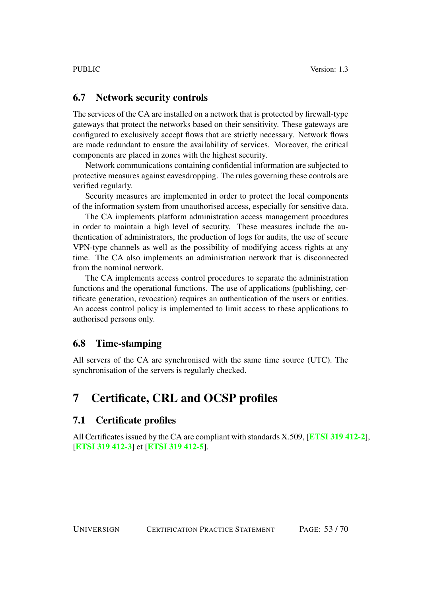### <span id="page-52-0"></span>6.7 Network security controls

The services of the CA are installed on a network that is protected by firewall-type gateways that protect the networks based on their sensitivity. These gateways are configured to exclusively accept flows that are strictly necessary. Network flows are made redundant to ensure the availability of services. Moreover, the critical components are placed in zones with the highest security.

Network communications containing confidential information are subjected to protective measures against eavesdropping. The rules governing these controls are verified regularly.

Security measures are implemented in order to protect the local components of the information system from unauthorised access, especially for sensitive data.

The CA implements platform administration access management procedures in order to maintain a high level of security. These measures include the authentication of administrators, the production of logs for audits, the use of secure VPN-type channels as well as the possibility of modifying access rights at any time. The CA also implements an administration network that is disconnected from the nominal network.

The CA implements access control procedures to separate the administration functions and the operational functions. The use of applications (publishing, certificate generation, revocation) requires an authentication of the users or entities. An access control policy is implemented to limit access to these applications to authorised persons only.

### <span id="page-52-1"></span>6.8 Time-stamping

All servers of the CA are synchronised with the same time source (UTC). The synchronisation of the servers is regularly checked.

# <span id="page-52-2"></span>7 Certificate, CRL and OCSP profiles

### <span id="page-52-3"></span>7.1 Certificate profiles

All Certificates issued by the CA are compliant with standards X.509, [[ETSI 319 412-2](#page-68-0)], [[ETSI 319 412-3](#page-68-1)] et [[ETSI 319 412-5](#page-68-2)].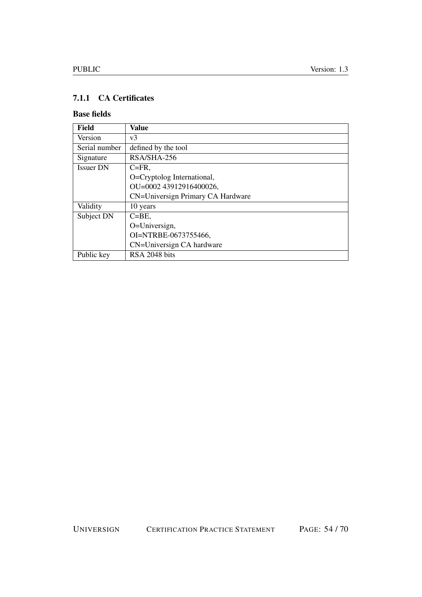# <span id="page-53-0"></span>7.1.1 CA Certificates

### Base fields

| Field            | Value                             |
|------------------|-----------------------------------|
| Version          | v3                                |
| Serial number    | defined by the tool               |
| Signature        | RSA/SHA-256                       |
| <b>Issuer DN</b> | $C = FR$ ,                        |
|                  | O=Cryptolog International,        |
|                  | OU=0002 43912916400026,           |
|                  | CN=Universign Primary CA Hardware |
| Validity         | 10 years                          |
| Subject DN       | $C = BE$ .                        |
|                  | O=Universign,                     |
|                  | OI=NTRBE-0673755466,              |
|                  | CN=Universign CA hardware         |
| Public key       | RSA 2048 bits                     |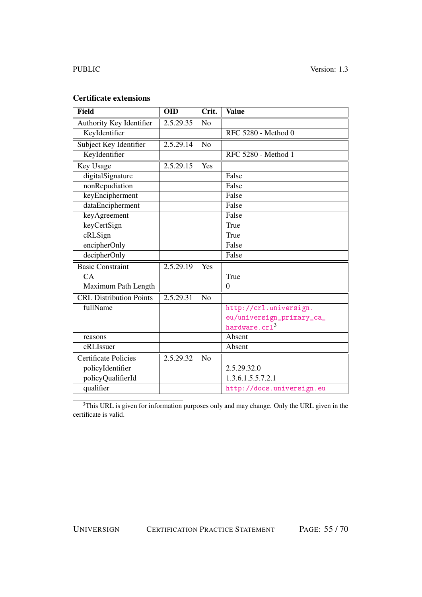## Certificate extensions

| <b>Field</b>                   | <b>OID</b> | Crit.          | <b>Value</b>              |
|--------------------------------|------------|----------------|---------------------------|
| Authority Key Identifier       | 2.5.29.35  | N <sub>o</sub> |                           |
| KeyIdentifier                  |            |                | RFC 5280 - Method 0       |
| Subject Key Identifier         | 2.5.29.14  | N <sub>o</sub> |                           |
| KeyIdentifier                  |            |                | RFC 5280 - Method 1       |
| Key Usage                      | 2.5.29.15  | Yes            |                           |
| digitalSignature               |            |                | False                     |
| nonRepudiation                 |            |                | False                     |
| keyEncipherment                |            |                | False                     |
| dataEncipherment               |            |                | False                     |
| keyAgreement                   |            |                | False                     |
| keyCertSign                    |            |                | True                      |
| cRLSign                        |            |                | True                      |
| encipherOnly                   |            |                | False                     |
| decipherOnly                   |            |                | False                     |
| <b>Basic Constraint</b>        | 2.5.29.19  | Yes            |                           |
| CA                             |            |                | True                      |
| Maximum Path Length            |            |                | $\overline{0}$            |
| <b>CRL</b> Distribution Points | 2.5.29.31  | N <sub>0</sub> |                           |
| fullName                       |            |                | http://crl.universign.    |
|                                |            |                | eu/universign_primary_ca_ |
|                                |            |                | hardware.crl <sup>3</sup> |
| reasons                        |            |                | Absent                    |
| cRLIssuer                      |            |                | Absent                    |
| <b>Certificate Policies</b>    | 2.5.29.32  | No             |                           |
| policyIdentifier               |            |                | 2.5.29.32.0               |
| policyQualifierId              |            |                | 1.3.6.1.5.5.7.2.1         |
| qualifier                      |            |                | http://docs.universign.eu |

<sup>3</sup>This URL is given for information purposes only and may change. Only the URL given in the certificate is valid.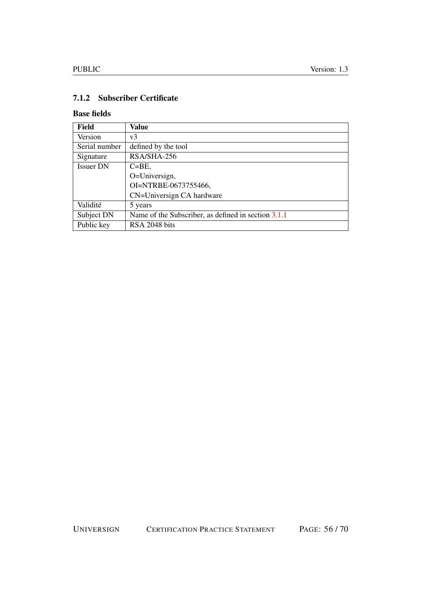# <span id="page-55-0"></span>7.1.2 Subscriber Certificate

### Base fields

| <b>Field</b>     | Value                                               |
|------------------|-----------------------------------------------------|
| Version          | v <sub>3</sub>                                      |
| Serial number    | defined by the tool                                 |
| Signature        | RSA/SHA-256                                         |
| <b>Issuer DN</b> | $C = BE$ ,                                          |
|                  | O=Universign,                                       |
|                  | OI=NTRBE-0673755466,                                |
|                  | CN=Universign CA hardware                           |
| Validité         | 5 years                                             |
| Subject DN       | Name of the Subscriber, as defined in section 3.1.1 |
| Public key       | RSA 2048 bits                                       |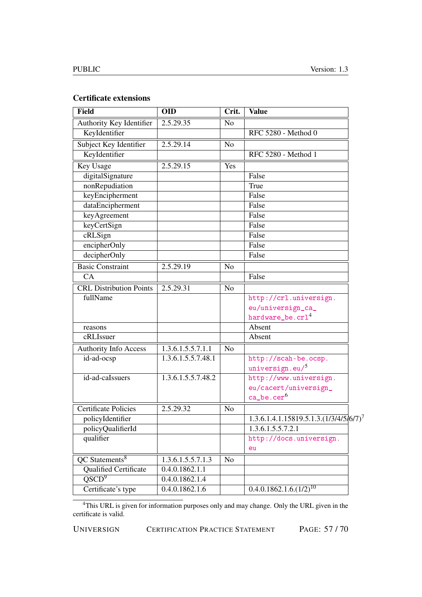### Certificate extensions

| <b>Field</b>                   | <b>OID</b>         | Crit.          | <b>Value</b>                              |
|--------------------------------|--------------------|----------------|-------------------------------------------|
| Authority Key Identifier       | 2.5.29.35          | N <sub>o</sub> |                                           |
| KeyIdentifier                  |                    |                | RFC 5280 - Method 0                       |
| Subject Key Identifier         | 2.5.29.14          | No             |                                           |
| KeyIdentifier                  |                    |                | RFC 5280 - Method 1                       |
| Key Usage                      | 2.5.29.15          | Yes            |                                           |
| digitalSignature               |                    |                | False                                     |
| nonRepudiation                 |                    |                | True                                      |
| keyEncipherment                |                    |                | False                                     |
| dataEncipherment               |                    |                | False                                     |
| keyAgreement                   |                    |                | False                                     |
| keyCertSign                    |                    |                | False                                     |
| cRLSign                        |                    |                | False                                     |
| encipherOnly                   |                    |                | False                                     |
| decipherOnly                   |                    |                | False                                     |
| <b>Basic Constraint</b>        | 2.5.29.19          | N <sub>o</sub> |                                           |
| CA                             |                    |                | False                                     |
| <b>CRL Distribution Points</b> | 2.5.29.31          | N <sub>o</sub> |                                           |
| fullName                       |                    |                | http://crl.universign.                    |
|                                |                    |                | eu/universign_ca_                         |
|                                |                    |                | hardware_be.crl <sup>4</sup>              |
| reasons                        |                    |                | Absent                                    |
| cRLIssuer                      |                    |                | Absent                                    |
| Authority Info Access          | 1.3.6.1.5.5.7.1.1  | No             |                                           |
| id-ad-ocsp                     | 1.3.6.1.5.5.7.48.1 |                | http://scah-be.ocsp.                      |
|                                |                    |                | universign.eu/5                           |
| id-ad-caIssuers                | 1.3.6.1.5.5.7.48.2 |                | http://www.universign.                    |
|                                |                    |                | eu/cacert/universign_                     |
|                                |                    |                | $\mathtt{ca\_be}.\mathtt{cer}^6$          |
| <b>Certificate Policies</b>    | 2.5.29.32          | No             |                                           |
| policyIdentifier               |                    |                | $1.3.6.1.4.1.15819.5.1.3. (1/3/4/5/6/7)7$ |
| policyQualifierId              |                    |                | 1.3.6.1.5.5.7.2.1                         |
| qualifier                      |                    |                | http://docs.universign.                   |
|                                |                    |                | eu                                        |
| QC Statements <sup>8</sup>     | 1.3.6.1.5.5.7.1.3  | N <sub>o</sub> |                                           |
| <b>Qualified Certificate</b>   | 0.4.0.1862.1.1     |                |                                           |
| $\overline{\text{QSCD}^9}$     | 0.4.0.1862.1.4     |                |                                           |
| Certificate's type             | 0.4.0.1862.1.6     |                | $0.4.0.1862.1.6.(1/2)^{10}$               |

<sup>4</sup>This URL is given for information purposes only and may change. Only the URL given in the certificate is valid.

UNIVERSIGN CERTIFICATION PRACTICE STATEMENT PAGE: 57 / 70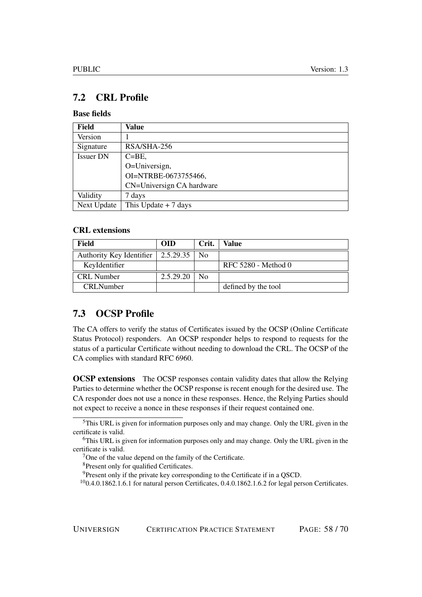# <span id="page-57-0"></span>7.2 CRL Profile

### Base fields

| Field            | Value                     |
|------------------|---------------------------|
| Version          |                           |
| Signature        | RSA/SHA-256               |
| <b>Issuer DN</b> | $C = BE$ ,                |
|                  | O=Universign,             |
|                  | OI=NTRBE-0673755466,      |
|                  | CN=Universign CA hardware |
| Validity         | 7 days                    |
| Next Update      | This Update $+ 7$ days    |

### CRL extensions

| Field                    | <b>OID</b> | Crit. | Value               |
|--------------------------|------------|-------|---------------------|
| Authority Key Identifier | 2.5.29.35  | No    |                     |
| KeyIdentifier            |            |       | RFC 5280 - Method 0 |
| <b>CRL</b> Number        | 2.5.29.20  | N٥    |                     |
| <b>CRLNumber</b>         |            |       | defined by the tool |

# <span id="page-57-1"></span>7.3 OCSP Profile

The CA offers to verify the status of Certificates issued by the OCSP (Online Certificate Status Protocol) responders. An OCSP responder helps to respond to requests for the status of a particular Certificate without needing to download the CRL. The OCSP of the CA complies with standard RFC 6960.

**OCSP extensions** The OCSP responses contain validity dates that allow the Relying Parties to determine whether the OCSP response is recent enough for the desired use. The CA responder does not use a nonce in these responses. Hence, the Relying Parties should not expect to receive a nonce in these responses if their request contained one.

 $<sup>5</sup>$ This URL is given for information purposes only and may change. Only the URL given in the</sup> certificate is valid.

<sup>&</sup>lt;sup>6</sup>This URL is given for information purposes only and may change. Only the URL given in the certificate is valid.

<sup>7</sup>One of the value depend on the family of the Certificate.

<sup>8</sup>Present only for qualified Certificates.

<sup>&</sup>lt;sup>9</sup>Present only if the private key corresponding to the Certificate if in a QSCD.

 $100.4.0.1862.1.6.1$  for natural person Certificates,  $0.4.0.1862.1.6.2$  for legal person Certificates.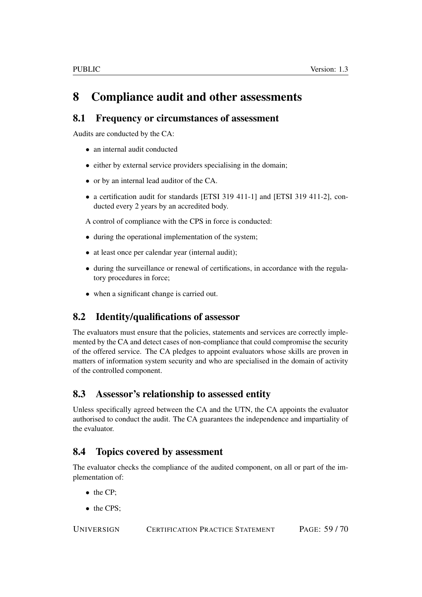# <span id="page-58-0"></span>8 Compliance audit and other assessments

# <span id="page-58-1"></span>8.1 Frequency or circumstances of assessment

Audits are conducted by the CA:

- an internal audit conducted
- either by external service providers specialising in the domain;
- or by an internal lead auditor of the CA.
- a certification audit for standards [ETSI 319 411-1] and [ETSI 319 411-2], conducted every 2 years by an accredited body.

A control of compliance with the CPS in force is conducted:

- during the operational implementation of the system;
- at least once per calendar year (internal audit);
- during the surveillance or renewal of certifications, in accordance with the regulatory procedures in force;
- when a significant change is carried out.

# <span id="page-58-2"></span>8.2 Identity/qualifications of assessor

The evaluators must ensure that the policies, statements and services are correctly implemented by the CA and detect cases of non-compliance that could compromise the security of the offered service. The CA pledges to appoint evaluators whose skills are proven in matters of information system security and who are specialised in the domain of activity of the controlled component.

# <span id="page-58-3"></span>8.3 Assessor's relationship to assessed entity

Unless specifically agreed between the CA and the UTN, the CA appoints the evaluator authorised to conduct the audit. The CA guarantees the independence and impartiality of the evaluator.

# <span id="page-58-4"></span>8.4 Topics covered by assessment

The evaluator checks the compliance of the audited component, on all or part of the implementation of:

- the CP;
- the CPS;

UNIVERSIGN CERTIFICATION PRACTICE STATEMENT PAGE: 59 / 70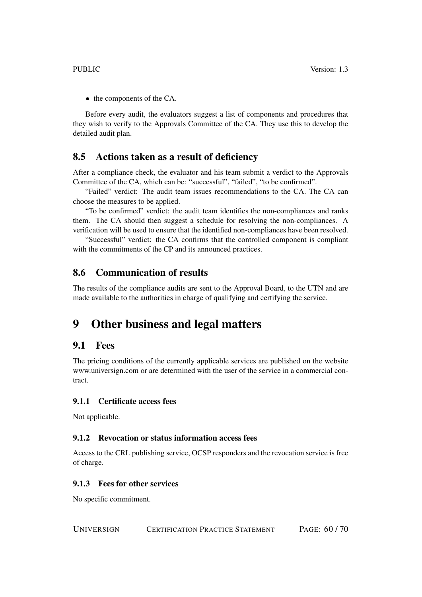• the components of the CA.

Before every audit, the evaluators suggest a list of components and procedures that they wish to verify to the Approvals Committee of the CA. They use this to develop the detailed audit plan.

### <span id="page-59-0"></span>8.5 Actions taken as a result of deficiency

After a compliance check, the evaluator and his team submit a verdict to the Approvals Committee of the CA, which can be: "successful", "failed", "to be confirmed".

"Failed" verdict: The audit team issues recommendations to the CA. The CA can choose the measures to be applied.

"To be confirmed" verdict: the audit team identifies the non-compliances and ranks them. The CA should then suggest a schedule for resolving the non-compliances. A verification will be used to ensure that the identified non-compliances have been resolved.

"Successful" verdict: the CA confirms that the controlled component is compliant with the commitments of the CP and its announced practices.

### <span id="page-59-1"></span>8.6 Communication of results

The results of the compliance audits are sent to the Approval Board, to the UTN and are made available to the authorities in charge of qualifying and certifying the service.

# <span id="page-59-2"></span>9 Other business and legal matters

### <span id="page-59-3"></span>9.1 Fees

The pricing conditions of the currently applicable services are published on the website www.universign.com or are determined with the user of the service in a commercial contract.

### <span id="page-59-4"></span>9.1.1 Certificate access fees

Not applicable.

#### <span id="page-59-5"></span>9.1.2 Revocation or status information access fees

Access to the CRL publishing service, OCSP responders and the revocation service is free of charge.

#### <span id="page-59-6"></span>9.1.3 Fees for other services

No specific commitment.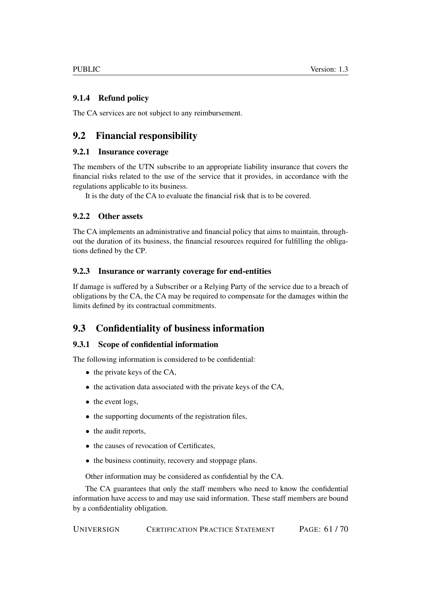### <span id="page-60-0"></span>9.1.4 Refund policy

The CA services are not subject to any reimbursement.

# <span id="page-60-1"></span>9.2 Financial responsibility

### <span id="page-60-2"></span>9.2.1 Insurance coverage

The members of the UTN subscribe to an appropriate liability insurance that covers the financial risks related to the use of the service that it provides, in accordance with the regulations applicable to its business.

It is the duty of the CA to evaluate the financial risk that is to be covered.

### <span id="page-60-3"></span>9.2.2 Other assets

The CA implements an administrative and financial policy that aims to maintain, throughout the duration of its business, the financial resources required for fulfilling the obligations defined by the CP.

### <span id="page-60-4"></span>9.2.3 Insurance or warranty coverage for end-entities

If damage is suffered by a Subscriber or a Relying Party of the service due to a breach of obligations by the CA, the CA may be required to compensate for the damages within the limits defined by its contractual commitments.

# <span id="page-60-5"></span>9.3 Confidentiality of business information

### <span id="page-60-6"></span>9.3.1 Scope of confidential information

The following information is considered to be confidential:

- the private keys of the CA,
- the activation data associated with the private keys of the CA,
- the event logs,
- the supporting documents of the registration files,
- the audit reports,
- the causes of revocation of Certificates,
- the business continuity, recovery and stoppage plans.

Other information may be considered as confidential by the CA.

The CA guarantees that only the staff members who need to know the confidential information have access to and may use said information. These staff members are bound by a confidentiality obligation.

UNIVERSIGN CERTIFICATION PRACTICE STATEMENT PAGE: 61 / 70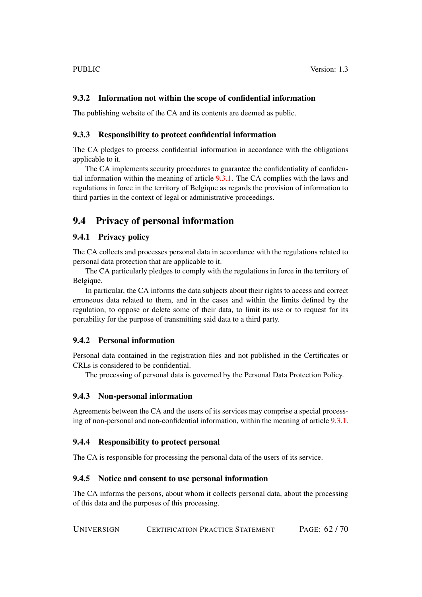#### <span id="page-61-0"></span>9.3.2 Information not within the scope of confidential information

The publishing website of the CA and its contents are deemed as public.

#### <span id="page-61-1"></span>9.3.3 Responsibility to protect confidential information

The CA pledges to process confidential information in accordance with the obligations applicable to it.

The CA implements security procedures to guarantee the confidentiality of confidential information within the meaning of article [9.3.1.](#page-60-6) The CA complies with the laws and regulations in force in the territory of Belgique as regards the provision of information to third parties in the context of legal or administrative proceedings.

## <span id="page-61-2"></span>9.4 Privacy of personal information

#### <span id="page-61-3"></span>9.4.1 Privacy policy

The CA collects and processes personal data in accordance with the regulations related to personal data protection that are applicable to it.

The CA particularly pledges to comply with the regulations in force in the territory of Belgique.

In particular, the CA informs the data subjects about their rights to access and correct erroneous data related to them, and in the cases and within the limits defined by the regulation, to oppose or delete some of their data, to limit its use or to request for its portability for the purpose of transmitting said data to a third party.

#### <span id="page-61-4"></span>9.4.2 Personal information

Personal data contained in the registration files and not published in the Certificates or CRLs is considered to be confidential.

The processing of personal data is governed by the Personal Data Protection Policy.

#### <span id="page-61-5"></span>9.4.3 Non-personal information

Agreements between the CA and the users of its services may comprise a special processing of non-personal and non-confidential information, within the meaning of article [9.3.1.](#page-60-6)

#### <span id="page-61-6"></span>9.4.4 Responsibility to protect personal

The CA is responsible for processing the personal data of the users of its service.

#### <span id="page-61-7"></span>9.4.5 Notice and consent to use personal information

The CA informs the persons, about whom it collects personal data, about the processing of this data and the purposes of this processing.

UNIVERSIGN CERTIFICATION PRACTICE STATEMENT PAGE: 62 / 70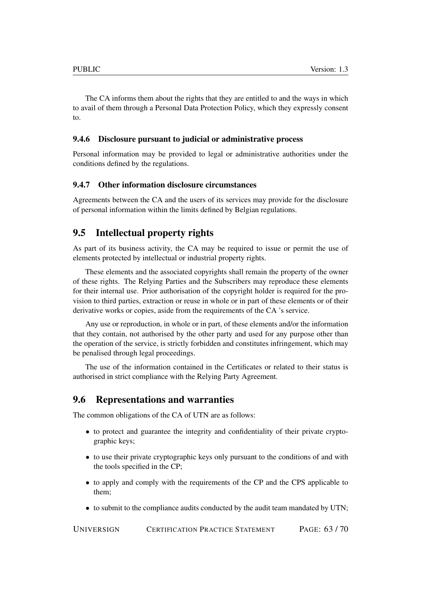The CA informs them about the rights that they are entitled to and the ways in which to avail of them through a Personal Data Protection Policy, which they expressly consent to.

#### <span id="page-62-0"></span>9.4.6 Disclosure pursuant to judicial or administrative process

Personal information may be provided to legal or administrative authorities under the conditions defined by the regulations.

#### <span id="page-62-1"></span>9.4.7 Other information disclosure circumstances

Agreements between the CA and the users of its services may provide for the disclosure of personal information within the limits defined by Belgian regulations.

### <span id="page-62-2"></span>9.5 Intellectual property rights

As part of its business activity, the CA may be required to issue or permit the use of elements protected by intellectual or industrial property rights.

These elements and the associated copyrights shall remain the property of the owner of these rights. The Relying Parties and the Subscribers may reproduce these elements for their internal use. Prior authorisation of the copyright holder is required for the provision to third parties, extraction or reuse in whole or in part of these elements or of their derivative works or copies, aside from the requirements of the CA 's service.

Any use or reproduction, in whole or in part, of these elements and/or the information that they contain, not authorised by the other party and used for any purpose other than the operation of the service, is strictly forbidden and constitutes infringement, which may be penalised through legal proceedings.

The use of the information contained in the Certificates or related to their status is authorised in strict compliance with the Relying Party Agreement.

#### <span id="page-62-3"></span>9.6 Representations and warranties

The common obligations of the CA of UTN are as follows:

- to protect and guarantee the integrity and confidentiality of their private cryptographic keys;
- to use their private cryptographic keys only pursuant to the conditions of and with the tools specified in the CP;
- to apply and comply with the requirements of the CP and the CPS applicable to them;
- to submit to the compliance audits conducted by the audit team mandated by UTN;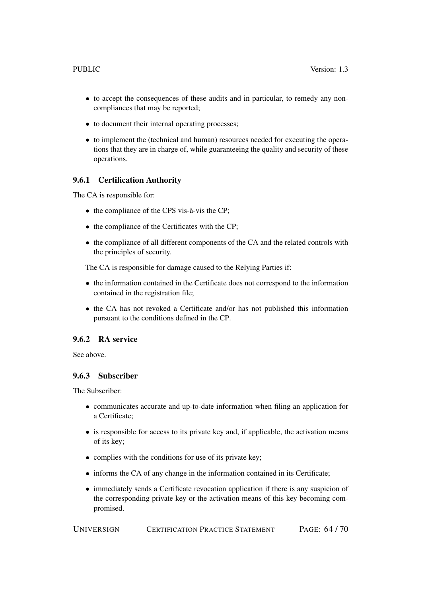- to accept the consequences of these audits and in particular, to remedy any noncompliances that may be reported;
- to document their internal operating processes;
- to implement the (technical and human) resources needed for executing the operations that they are in charge of, while guaranteeing the quality and security of these operations.

#### <span id="page-63-0"></span>9.6.1 Certification Authority

The CA is responsible for:

- the compliance of the CPS vis-à-vis the CP;
- the compliance of the Certificates with the CP;
- the compliance of all different components of the CA and the related controls with the principles of security.

The CA is responsible for damage caused to the Relying Parties if:

- the information contained in the Certificate does not correspond to the information contained in the registration file;
- the CA has not revoked a Certificate and/or has not published this information pursuant to the conditions defined in the CP.

#### <span id="page-63-1"></span>9.6.2 RA service

See above.

#### <span id="page-63-2"></span>9.6.3 Subscriber

The Subscriber:

- communicates accurate and up-to-date information when filing an application for a Certificate;
- is responsible for access to its private key and, if applicable, the activation means of its key;
- complies with the conditions for use of its private key;
- informs the CA of any change in the information contained in its Certificate;
- immediately sends a Certificate revocation application if there is any suspicion of the corresponding private key or the activation means of this key becoming compromised.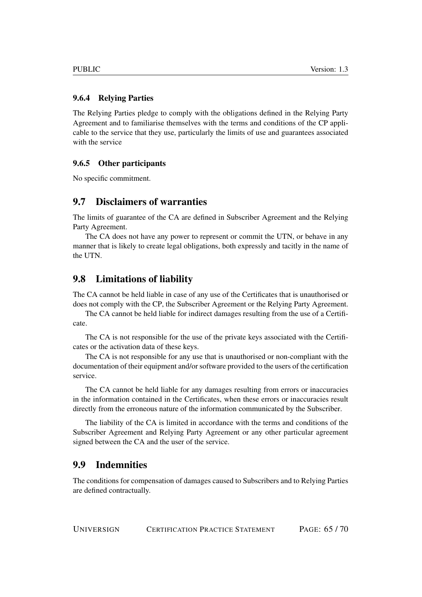#### <span id="page-64-0"></span>9.6.4 Relying Parties

The Relying Parties pledge to comply with the obligations defined in the Relying Party Agreement and to familiarise themselves with the terms and conditions of the CP applicable to the service that they use, particularly the limits of use and guarantees associated with the service

#### <span id="page-64-1"></span>9.6.5 Other participants

No specific commitment.

### <span id="page-64-2"></span>9.7 Disclaimers of warranties

The limits of guarantee of the CA are defined in Subscriber Agreement and the Relying Party Agreement.

The CA does not have any power to represent or commit the UTN, or behave in any manner that is likely to create legal obligations, both expressly and tacitly in the name of the UTN.

### <span id="page-64-3"></span>9.8 Limitations of liability

The CA cannot be held liable in case of any use of the Certificates that is unauthorised or does not comply with the CP, the Subscriber Agreement or the Relying Party Agreement.

The CA cannot be held liable for indirect damages resulting from the use of a Certificate.

The CA is not responsible for the use of the private keys associated with the Certificates or the activation data of these keys.

The CA is not responsible for any use that is unauthorised or non-compliant with the documentation of their equipment and/or software provided to the users of the certification service.

The CA cannot be held liable for any damages resulting from errors or inaccuracies in the information contained in the Certificates, when these errors or inaccuracies result directly from the erroneous nature of the information communicated by the Subscriber.

The liability of the CA is limited in accordance with the terms and conditions of the Subscriber Agreement and Relying Party Agreement or any other particular agreement signed between the CA and the user of the service.

# <span id="page-64-4"></span>9.9 Indemnities

The conditions for compensation of damages caused to Subscribers and to Relying Parties are defined contractually.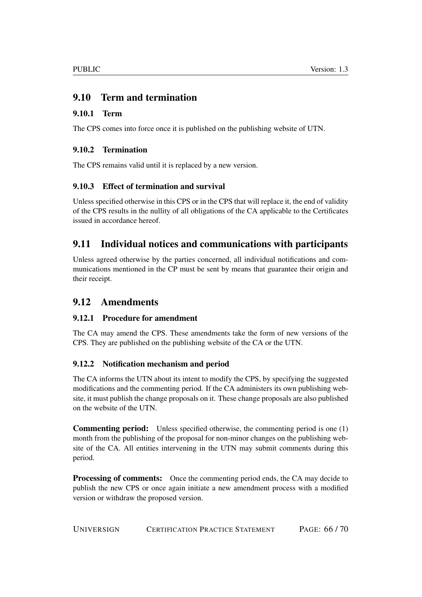# <span id="page-65-0"></span>9.10 Term and termination

### <span id="page-65-1"></span>9.10.1 Term

The CPS comes into force once it is published on the publishing website of UTN.

### <span id="page-65-2"></span>9.10.2 Termination

The CPS remains valid until it is replaced by a new version.

### <span id="page-65-3"></span>9.10.3 Effect of termination and survival

Unless specified otherwise in this CPS or in the CPS that will replace it, the end of validity of the CPS results in the nullity of all obligations of the CA applicable to the Certificates issued in accordance hereof.

# <span id="page-65-4"></span>9.11 Individual notices and communications with participants

Unless agreed otherwise by the parties concerned, all individual notifications and communications mentioned in the CP must be sent by means that guarantee their origin and their receipt.

# <span id="page-65-5"></span>9.12 Amendments

### <span id="page-65-6"></span>9.12.1 Procedure for amendment

The CA may amend the CPS. These amendments take the form of new versions of the CPS. They are published on the publishing website of the CA or the UTN.

### <span id="page-65-7"></span>9.12.2 Notification mechanism and period

The CA informs the UTN about its intent to modify the CPS, by specifying the suggested modifications and the commenting period. If the CA administers its own publishing website, it must publish the change proposals on it. These change proposals are also published on the website of the UTN.

Commenting period: Unless specified otherwise, the commenting period is one (1) month from the publishing of the proposal for non-minor changes on the publishing website of the CA. All entities intervening in the UTN may submit comments during this period.

**Processing of comments:** Once the commenting period ends, the CA may decide to publish the new CPS or once again initiate a new amendment process with a modified version or withdraw the proposed version.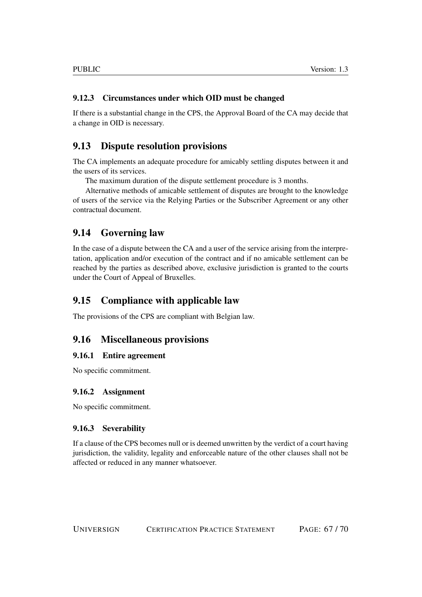### <span id="page-66-0"></span>9.12.3 Circumstances under which OID must be changed

If there is a substantial change in the CPS, the Approval Board of the CA may decide that a change in OID is necessary.

### <span id="page-66-1"></span>9.13 Dispute resolution provisions

The CA implements an adequate procedure for amicably settling disputes between it and the users of its services.

The maximum duration of the dispute settlement procedure is 3 months.

Alternative methods of amicable settlement of disputes are brought to the knowledge of users of the service via the Relying Parties or the Subscriber Agreement or any other contractual document.

### <span id="page-66-2"></span>9.14 Governing law

In the case of a dispute between the CA and a user of the service arising from the interpretation, application and/or execution of the contract and if no amicable settlement can be reached by the parties as described above, exclusive jurisdiction is granted to the courts under the Court of Appeal of Bruxelles.

### <span id="page-66-3"></span>9.15 Compliance with applicable law

The provisions of the CPS are compliant with Belgian law.

### <span id="page-66-4"></span>9.16 Miscellaneous provisions

#### <span id="page-66-5"></span>9.16.1 Entire agreement

No specific commitment.

#### <span id="page-66-6"></span>9.16.2 Assignment

No specific commitment.

### <span id="page-66-7"></span>9.16.3 Severability

If a clause of the CPS becomes null or is deemed unwritten by the verdict of a court having jurisdiction, the validity, legality and enforceable nature of the other clauses shall not be affected or reduced in any manner whatsoever.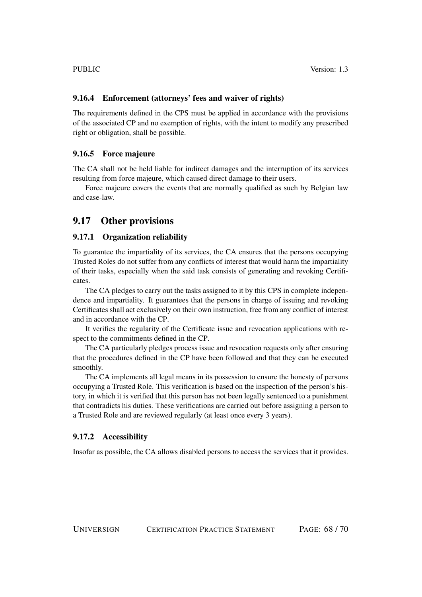### <span id="page-67-0"></span>9.16.4 Enforcement (attorneys' fees and waiver of rights)

The requirements defined in the CPS must be applied in accordance with the provisions of the associated CP and no exemption of rights, with the intent to modify any prescribed right or obligation, shall be possible.

#### <span id="page-67-1"></span>9.16.5 Force majeure

The CA shall not be held liable for indirect damages and the interruption of its services resulting from force majeure, which caused direct damage to their users.

Force majeure covers the events that are normally qualified as such by Belgian law and case-law.

### <span id="page-67-2"></span>9.17 Other provisions

#### <span id="page-67-3"></span>9.17.1 Organization reliability

To guarantee the impartiality of its services, the CA ensures that the persons occupying Trusted Roles do not suffer from any conflicts of interest that would harm the impartiality of their tasks, especially when the said task consists of generating and revoking Certificates.

The CA pledges to carry out the tasks assigned to it by this CPS in complete independence and impartiality. It guarantees that the persons in charge of issuing and revoking Certificates shall act exclusively on their own instruction, free from any conflict of interest and in accordance with the CP.

It verifies the regularity of the Certificate issue and revocation applications with respect to the commitments defined in the CP.

The CA particularly pledges process issue and revocation requests only after ensuring that the procedures defined in the CP have been followed and that they can be executed smoothly.

The CA implements all legal means in its possession to ensure the honesty of persons occupying a Trusted Role. This verification is based on the inspection of the person's history, in which it is verified that this person has not been legally sentenced to a punishment that contradicts his duties. These verifications are carried out before assigning a person to a Trusted Role and are reviewed regularly (at least once every 3 years).

#### <span id="page-67-4"></span>9.17.2 Accessibility

Insofar as possible, the CA allows disabled persons to access the services that it provides.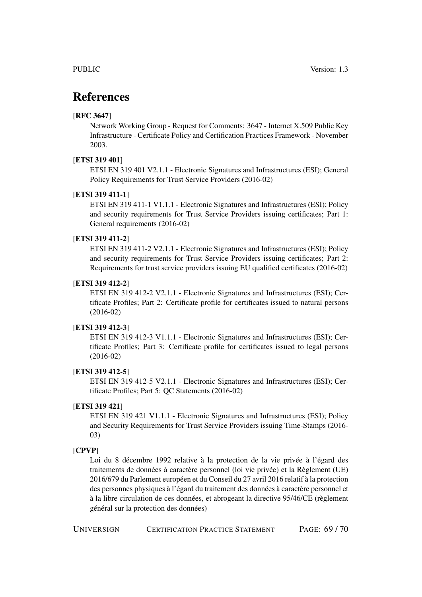# References

#### [RFC 3647]

Network Working Group - Request for Comments: 3647 - Internet X.509 Public Key Infrastructure - Certificate Policy and Certification Practices Framework - November 2003.

#### [ETSI 319 401]

ETSI EN 319 401 V2.1.1 - Electronic Signatures and Infrastructures (ESI); General Policy Requirements for Trust Service Providers (2016-02)

#### [ETSI 319 411-1]

ETSI EN 319 411-1 V1.1.1 - Electronic Signatures and Infrastructures (ESI); Policy and security requirements for Trust Service Providers issuing certificates; Part 1: General requirements (2016-02)

#### [ETSI 319 411-2]

ETSI EN 319 411-2 V2.1.1 - Electronic Signatures and Infrastructures (ESI); Policy and security requirements for Trust Service Providers issuing certificates; Part 2: Requirements for trust service providers issuing EU qualified certificates (2016-02)

#### <span id="page-68-0"></span>[ETSI 319 412-2]

ETSI EN 319 412-2 V2.1.1 - Electronic Signatures and Infrastructures (ESI); Certificate Profiles; Part 2: Certificate profile for certificates issued to natural persons (2016-02)

#### <span id="page-68-1"></span>[ETSI 319 412-3]

ETSI EN 319 412-3 V1.1.1 - Electronic Signatures and Infrastructures (ESI); Certificate Profiles; Part 3: Certificate profile for certificates issued to legal persons (2016-02)

#### <span id="page-68-2"></span>[ETSI 319 412-5]

ETSI EN 319 412-5 V2.1.1 - Electronic Signatures and Infrastructures (ESI); Certificate Profiles; Part 5: QC Statements (2016-02)

#### [ETSI 319 421]

ETSI EN 319 421 V1.1.1 - Electronic Signatures and Infrastructures (ESI); Policy and Security Requirements for Trust Service Providers issuing Time-Stamps (2016- 03)

#### [CPVP]

Loi du 8 décembre 1992 relative à la protection de la vie privée à l'égard des traitements de données à caractère personnel (loi vie privée) et la Règlement (UE) 2016/679 du Parlement européen et du Conseil du 27 avril 2016 relatif à la protection des personnes physiques à l'égard du traitement des données à caractère personnel et à la libre circulation de ces données, et abrogeant la directive 95/46/CE (règlement général sur la protection des données)

UNIVERSIGN CERTIFICATION PRACTICE STATEMENT PAGE: 69 / 70